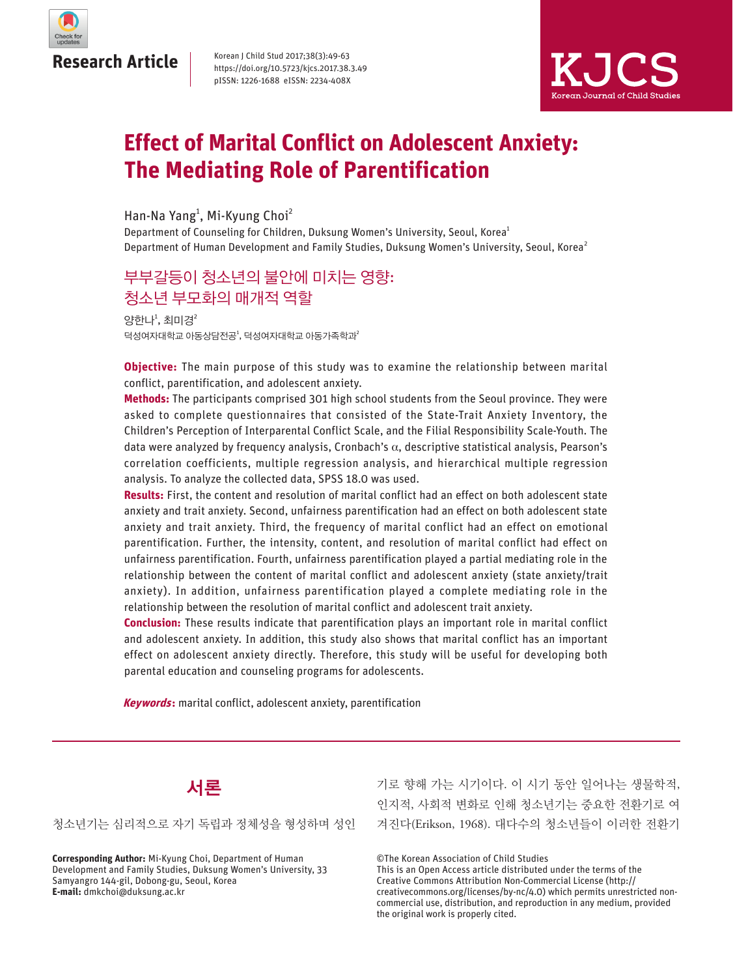

Korean J Child Stud 2017;38(3):49-63 https://doi.org/10.5723/kjcs.2017.38.3.49 pISSN: 1226-1688 eISSN: 2234-408X



# **Effect of Marital Conflict on Adolescent Anxiety: The Mediating Role of Parentification**

Han-Na Yang<sup>1</sup>, Mi-Kyung Choi<sup>2</sup>

Department of Counseling for Children, Duksung Women's University, Seoul, Korea<sup>1</sup> Department of Human Development and Family Studies, Duksung Women's University, Seoul, Korea<sup>2</sup>

# 부부갈등이 청소년의 불안에 미치는 영향: 청소년 부모화의 매개적 역할

양한나 $^1$ , 최미경 $^2$ 덕성여자대학교 아동상담전공<sup>1</sup>, 덕성여자대학교 아동가족학과<sup>2</sup>

**Objective:** The main purpose of this study was to examine the relationship between marital conflict, parentification, and adolescent anxiety.

**Methods:** The participants comprised 301 high school students from the Seoul province. They were asked to complete questionnaires that consisted of the State-Trait Anxiety Inventory, the Children's Perception of Interparental Conflict Scale, and the Filial Responsibility Scale-Youth. The data were analyzed by frequency analysis, Cronbach's α, descriptive statistical analysis, Pearson's correlation coefficients, multiple regression analysis, and hierarchical multiple regression analysis. To analyze the collected data, SPSS 18.0 was used.

**Results:** First, the content and resolution of marital conflict had an effect on both adolescent state anxiety and trait anxiety. Second, unfairness parentification had an effect on both adolescent state anxiety and trait anxiety. Third, the frequency of marital conflict had an effect on emotional parentification. Further, the intensity, content, and resolution of marital conflict had effect on unfairness parentification. Fourth, unfairness parentification played a partial mediating role in the relationship between the content of marital conflict and adolescent anxiety (state anxiety/trait anxiety). In addition, unfairness parentification played a complete mediating role in the relationship between the resolution of marital conflict and adolescent trait anxiety.

**Conclusion:** These results indicate that parentification plays an important role in marital conflict and adolescent anxiety. In addition, this study also shows that marital conflict has an important effect on adolescent anxiety directly. Therefore, this study will be useful for developing both parental education and counseling programs for adolescents.

**Keywords:** marital conflict, adolescent anxiety, parentification



청소년기는 심리적으로 자기 독립과 정체성을 형성하며 성인

**Corresponding Author:** Mi-Kyung Choi, Department of Human Development and Family Studies, Duksung Women's University, 33 Samyangro 144-gil, Dobong-gu, Seoul, Korea **E-mail:** dmkchoi@duksung.ac.kr

기로 향해 가는 시기이다. 이 시기 동안 일어나는 생물학적, 인지적, 사회적 변화로 인해 청소년기는 중요한 전환기로 여 겨진다(Erikson, 1968). 대다수의 청소년들이 이러한 전환기

©The Korean Association of Child Studies

This is an Open Access article distributed under the terms of the Creative Commons Attribution Non-Commercial License (http:// creativecommons.org/licenses/by-nc/4.0) which permits unrestricted noncommercial use, distribution, and reproduction in any medium, provided the original work is properly cited.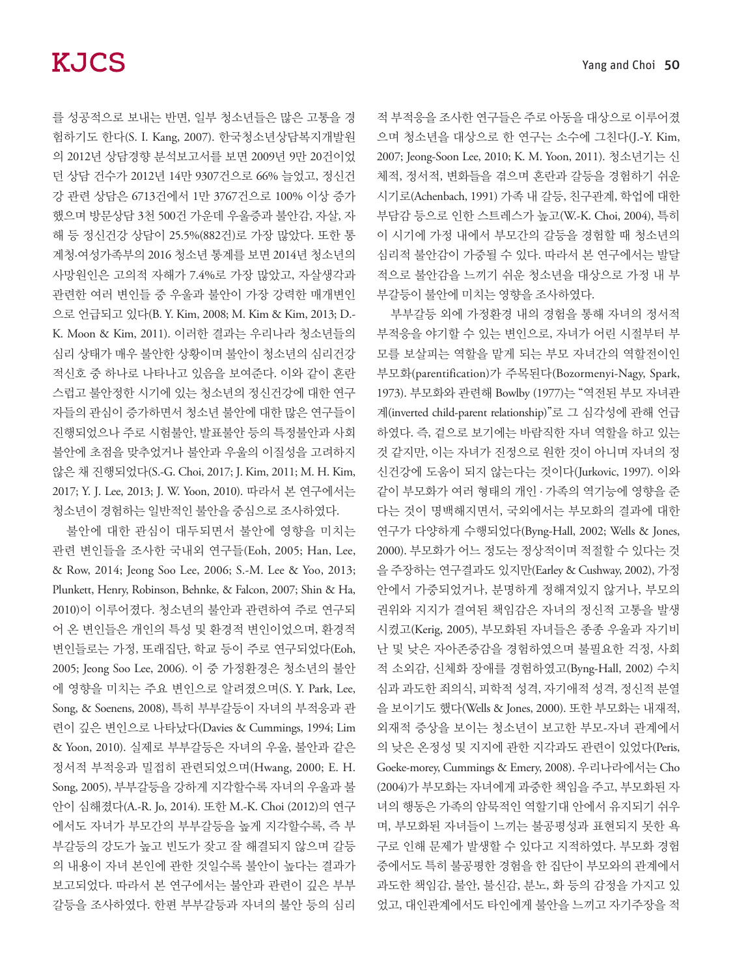를 성공적으로 보내는 반면, 일부 청소년들은 많은 고통을 경 험하기도 한다(S. I. Kang, 2007). 한국청소년상담복지개발원 의 2012년 상담경향 분석보고서를 보면 2009년 9만 20건이었 던 상담 건수가 2012년 14만 9307건으로 66% 늘었고, 정신건 강 관련 상담은 6713건에서 1만 3767건으로 100% 이상 증가 했으며 방문상담 3천 500건 가운데 우울증과 불안감, 자살, 자 해 등 정신건강 상담이 25.5%(882건)로 가장 많았다. 또한 통 계청·여성가족부의 2016 청소년 통계를 보면 2014년 청소년의 사망원인은 고의적 자해가 7.4%로 가장 많았고, 자살생각과 관련한 여러 변인들 중 우울과 불안이 가장 강력한 매개변인 으로 언급되고 있다(B. Y. Kim, 2008; M. Kim & Kim, 2013; D.- K. Moon & Kim, 2011). 이러한 결과는 우리나라 청소년들의 심리 상태가 매우 불안한 상황이며 불안이 청소년의 심리건강 적신호 중 하나로 나타나고 있음을 보여준다. 이와 같이 혼란 스럽고 불안정한 시기에 있는 청소년의 정신건강에 대한 연구 자들의 관심이 증가하면서 청소년 불안에 대한 많은 연구들이 진행되었으나 주로 시험불안, 발표불안 등의 특정불안과 사회 불안에 초점을 맞추었거나 불안과 우울의 이질성을 고려하지 않은 채 진행되었다(S.-G. Choi, 2017; J. Kim, 2011; M. H. Kim, 2017; Y. J. Lee, 2013; J. W. Yoon, 2010). 따라서 본 연구에서는 청소년이 경험하는 일반적인 불안을 중심으로 조사하였다.

불안에 대한 관심이 대두되면서 불안에 영향을 미치는 관련 변인들을 조사한 국내외 연구들(Eoh, 2005; Han, Lee, & Row, 2014; Jeong Soo Lee, 2006; S.-M. Lee & Yoo, 2013; Plunkett, Henry, Robinson, Behnke, & Falcon, 2007; Shin & Ha, 2010)이 이루어졌다. 청소년의 불안과 관련하여 주로 연구되 어 온 변인들은 개인의 특성 및 환경적 변인이었으며, 환경적 변인들로는 가정, 또래집단, 학교 등이 주로 연구되었다(Eoh, 2005; Jeong Soo Lee, 2006). 이 중 가정환경은 청소년의 불안 에 영향을 미치는 주요 변인으로 알려졌으며(S. Y. Park, Lee, Song, & Soenens, 2008), 특히 부부갈등이 자녀의 부적응과 관 련이 깊은 변인으로 나타났다(Davies & Cummings, 1994; Lim & Yoon, 2010). 실제로 부부갈등은 자녀의 우울, 불안과 같은 정서적 부적응과 밀접히 관련되었으며(Hwang, 2000; E. H. Song, 2005), 부부갈등을 강하게 지각할수록 자녀의 우울과 불 안이 심해졌다(A.-R. Jo, 2014). 또한 M.-K. Choi (2012)의 연구 에서도 자녀가 부모간의 부부갈등을 높게 지각할수록, 즉 부 부갈등의 강도가 높고 빈도가 잦고 잘 해결되지 않으며 갈등 의 내용이 자녀 본인에 관한 것일수록 불안이 높다는 결과가 보고되었다. 따라서 본 연구에서는 불안과 관련이 깊은 부부 갈등을 조사하였다. 한편 부부갈등과 자녀의 불안 등의 심리

적 부적응을 조사한 연구들은 주로 아동을 대상으로 이루어졌 으며 청소년을 대상으로 한 연구는 소수에 그친다(J.-Y. Kim, 2007; Jeong-Soon Lee, 2010; K. M. Yoon, 2011). 청소년기는 신 체적, 정서적, 변화들을 겪으며 혼란과 갈등을 경험하기 쉬운 시기로(Achenbach, 1991) 가족 내 갈등, 친구관계, 학업에 대한 부담감 등으로 인한 스트레스가 높고(W.-K. Choi, 2004), 특히 이 시기에 가정 내에서 부모간의 갈등을 경험할 때 청소년의 심리적 불안감이 가중될 수 있다. 따라서 본 연구에서는 발달 적으로 불안감을 느끼기 쉬운 청소년을 대상으로 가정 내 부 부갈등이 불안에 미치는 영향을 조사하였다.

부부갈등 외에 가정환경 내의 경험을 통해 자녀의 정서적 부적응을 야기할 수 있는 변인으로, 자녀가 어린 시절부터 부 모를 보살피는 역할을 맡게 되는 부모 자녀간의 역할전이인 부모화(parentification)가 주목된다(Bozormenyi-Nagy, Spark, 1973). 부모화와 관련해 Bowlby (1977)는 "역전된 부모 자녀관 계(inverted child-parent relationship)"로 그 심각성에 관해 언급 하였다. 즉, 겉으로 보기에는 바람직한 자녀 역할을 하고 있는 것 같지만, 이는 자녀가 진정으로 원한 것이 아니며 자녀의 정 신건강에 도움이 되지 않는다는 것이다(Jurkovic, 1997). 이와 같이 부모화가 여러 형태의 개인 . 가족의 역기능에 영향을 준 다는 것이 명백해지면서, 국외에서는 부모화의 결과에 대한 연구가 다양하게 수행되었다(Byng-Hall, 2002; Wells & Jones, 2000). 부모화가 어느 정도는 정상적이며 적절할 수 있다는 것 을 주장하는 연구결과도 있지만(Earley & Cushway, 2002), 가정 안에서 가중되었거나, 분명하게 정해져있지 않거나, 부모의 권위와 지지가 결여된 책임감은 자녀의 정신적 고통을 발생 시켰고(Kerig, 2005), 부모화된 자녀들은 종종 우울과 자기비 난 및 낮은 자아존중감을 경험하였으며 불필요한 걱정, 사회 적 소외감, 신체화 장애를 경험하였고(Byng-Hall, 2002) 수치 심과 과도한 죄의식, 피학적 성격, 자기애적 성격, 정신적 분열 을 보이기도 했다(Wells & Jones, 2000). 또한 부모화는 내재적, 외재적 증상을 보이는 청소년이 보고한 부모-자녀 관계에서 의 낮은 온정성 및 지지에 관한 지각과도 관련이 있었다(Peris, Goeke-morey, Cummings & Emery, 2008). 우리나라에서는 Cho (2004)가 부모화는 자녀에게 과중한 책임을 주고, 부모화된 자 녀의 행동은 가족의 암묵적인 역할기대 안에서 유지되기 쉬우 며, 부모화된 자녀들이 느끼는 불공평성과 표현되지 못한 욕 구로 인해 문제가 발생할 수 있다고 지적하였다. 부모화 경험 중에서도 특히 불공평한 경험을 한 집단이 부모와의 관계에서 과도한 책임감, 불안, 불신감, 분노, 화 등의 감정을 가지고 있 었고, 대인관계에서도 타인에게 불안을 느끼고 자기주장을 적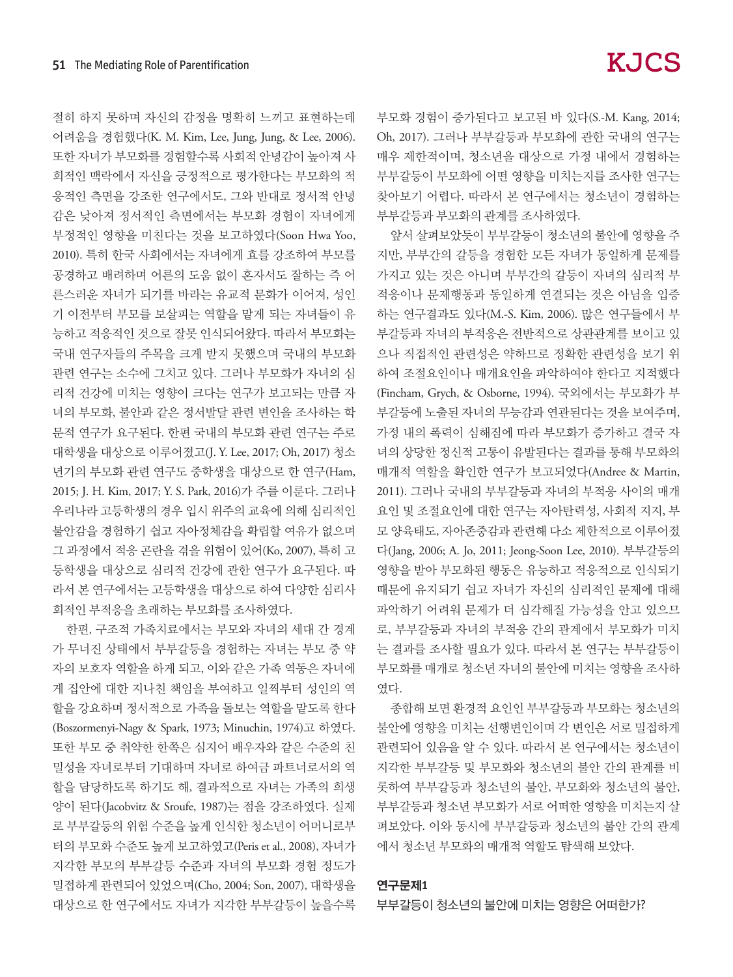절히 하지 못하며 자신의 감정을 명확히 느끼고 표현하는데 어려움을 경험했다(K. M. Kim, Lee, Jung, Jung, & Lee, 2006). 또한 자녀가 부모화를 경험할수록 사회적 안녕감이 높아져 사 회적인 맥락에서 자신을 긍정적으로 평가한다는 부모화의 적 응적인 측면을 강조한 연구에서도, 그와 반대로 정서적 안녕 감은 낮아져 정서적인 측면에서는 부모화 경험이 자녀에게 부정적인 영향을 미친다는 것을 보고하였다(Soon Hwa Yoo, 2010). 특히 한국 사회에서는 자녀에게 효를 강조하여 부모를 공경하고 배려하며 어른의 도움 없이 혼자서도 잘하는 즉 어 른스러운 자녀가 되기를 바라는 유교적 문화가 이어져, 성인 기 이전부터 부모를 보살피는 역할을 맡게 되는 자녀들이 유 능하고 적응적인 것으로 잘못 인식되어왔다. 따라서 부모화는 국내 연구자들의 주목을 크게 받지 못했으며 국내의 부모화 관련 연구는 소수에 그치고 있다. 그러나 부모화가 자녀의 심 리적 건강에 미치는 영향이 크다는 연구가 보고되는 만큼 자 녀의 부모화, 불안과 같은 정서발달 관련 변인을 조사하는 학 문적 연구가 요구된다. 한편 국내의 부모화 관련 연구는 주로 대학생을 대상으로 이루어졌고(J. Y. Lee, 2017; Oh, 2017) 청소 년기의 부모화 관련 연구도 중학생을 대상으로 한 연구(Ham, 2015; J. H. Kim, 2017; Y. S. Park, 2016)가 주를 이룬다. 그러나 우리나라 고등학생의 경우 입시 위주의 교육에 의해 심리적인 불안감을 경험하기 쉽고 자아정체감을 확립할 여유가 없으며 그 과정에서 적응 곤란을 겪을 위험이 있어(Ko, 2007), 특히 고 등학생을 대상으로 심리적 건강에 관한 연구가 요구된다. 따 라서 본 연구에서는 고등학생을 대상으로 하여 다양한 심리사 회적인 부적응을 초래하는 부모화를 조사하였다.

한편, 구조적 가족치료에서는 부모와 자녀의 세대 간 경계 가 무너진 상태에서 부부갈등을 경험하는 자녀는 부모 중 약 자의 보호자 역할을 하게 되고, 이와 같은 가족 역동은 자녀에 게 집안에 대한 지나친 책임을 부여하고 일찍부터 성인의 역 할을 강요하며 정서적으로 가족을 돌보는 역할을 맡도록 한다 (Boszormenyi-Nagy & Spark, 1973; Minuchin, 1974)고 하였다. 또한 부모 중 취약한 한쪽은 심지어 배우자와 같은 수준의 친 밀성을 자녀로부터 기대하며 자녀로 하여금 파트너로서의 역 할을 담당하도록 하기도 해, 결과적으로 자녀는 가족의 희생 양이 된다(Jacobvitz & Sroufe, 1987)는 점을 강조하였다. 실제 로 부부갈등의 위험 수준을 높게 인식한 청소년이 어머니로부 터의 부모화 수준도 높게 보고하였고(Peris et al., 2008), 자녀가 지각한 부모의 부부갈등 수준과 자녀의 부모화 경험 정도가 밀접하게 관련되어 있었으며(Cho, 2004; Son, 2007), 대학생을 대상으로 한 연구에서도 자녀가 지각한 부부갈등이 높을수록 부모화 경험이 증가된다고 보고된 바 있다(S.-M. Kang, 2014; Oh, 2017). 그러나 부부갈등과 부모화에 관한 국내의 연구는 매우 제한적이며, 청소년을 대상으로 가정 내에서 경험하는 부부갈등이 부모화에 어떤 영향을 미치는지를 조사한 연구는 찾아보기 어렵다. 따라서 본 연구에서는 청소년이 경험하는 부부갈등과 부모화의 관계를 조사하였다.

앞서 살펴보았듯이 부부갈등이 청소년의 불안에 영향을 주 지만, 부부간의 갈등을 경험한 모든 자녀가 동일하게 문제를 가지고 있는 것은 아니며 부부간의 갈등이 자녀의 심리적 부 적응이나 문제행동과 동일하게 연결되는 것은 아님을 입증 하는 연구결과도 있다(M.-S. Kim, 2006). 많은 연구들에서 부 부갈등과 자녀의 부적응은 전반적으로 상관관계를 보이고 있 으나 직접적인 관련성은 약하므로 정확한 관련성을 보기 위 하여 조절요인이나 매개요인을 파악하여야 한다고 지적했다 (Fincham, Grych, & Osborne, 1994). 국외에서는 부모화가 부 부갈등에 노출된 자녀의 무능감과 연관된다는 것을 보여주며, 가정 내의 폭력이 심해짐에 따라 부모화가 증가하고 결국 자 녀의 상당한 정신적 고통이 유발된다는 결과를 통해 부모화의 매개적 역할을 확인한 연구가 보고되었다(Andree & Martin, 2011). 그러나 국내의 부부갈등과 자녀의 부적응 사이의 매개 요인 및 조절요인에 대한 연구는 자아탄력성, 사회적 지지, 부 모 양육태도, 자아존중감과 관련해 다소 제한적으로 이루어졌 다(Jang, 2006; A. Jo, 2011; Jeong-Soon Lee, 2010). 부부갈등의 영향을 받아 부모화된 행동은 유능하고 적응적으로 인식되기 때문에 유지되기 쉽고 자녀가 자신의 심리적인 문제에 대해 파악하기 어려워 문제가 더 심각해질 가능성을 안고 있으므 로, 부부갈등과 자녀의 부적응 간의 관계에서 부모화가 미치 는 결과를 조사할 필요가 있다. 따라서 본 연구는 부부갈등이 부모화를 매개로 청소년 자녀의 불안에 미치는 영향을 조사하 였다.

종합해 보면 환경적 요인인 부부갈등과 부모화는 청소년의 불안에 영향을 미치는 선행변인이며 각 변인은 서로 밀접하게 관련되어 있음을 알 수 있다. 따라서 본 연구에서는 청소년이 지각한 부부갈등 및 부모화와 청소년의 불안 간의 관계를 비 롯하여 부부갈등과 청소년의 불안, 부모화와 청소년의 불안, 부부갈등과 청소년 부모화가 서로 어떠한 영향을 미치는지 살 펴보았다. 이와 동시에 부부갈등과 청소년의 불안 간의 관계 에서 청소년 부모화의 매개적 역할도 탐색해 보았다.

#### 연구문제1

부부갈등이 청소년의 불안에 미치는 영향은 어떠한가?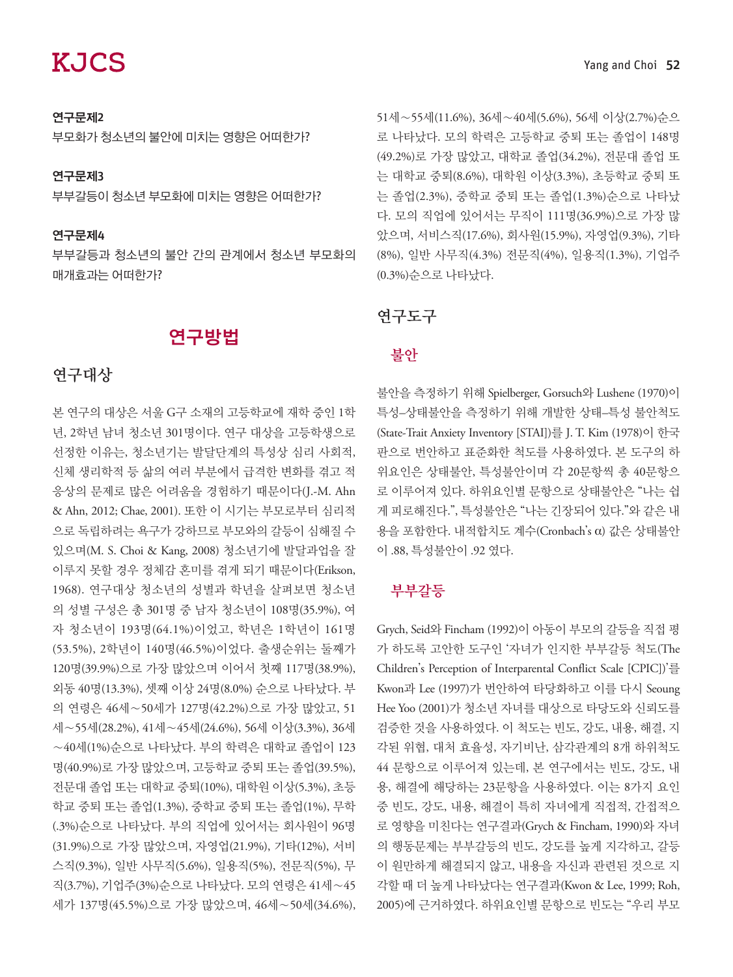#### 연구문제2

부모화가 청소년의 불안에 미치는 영향은 어떠한가?

#### 연구문제3

부부갈등이 청소년 부모화에 미치는 영향은 어떠한가?

#### 연구문제4

부부갈등과 청소년의 불안 간의 관계에서 청소년 부모화의 매개효과는 어떠한가?

### 연구방법

## 연구대상

본 연구의 대상은 서울 G구 소재의 고등학교에 재학 중인 1학 년, 2학년 남녀 청소년 301명이다. 연구 대상을 고등학생으로 선정한 이유는, 청소년기는 발달단계의 특성상 심리 사회적, 신체 생리학적 등 삶의 여러 부분에서 급격한 변화를 겪고 적 응상의 문제로 많은 어려움을 경험하기 때문이다(J.-M. Ahn & Ahn, 2012; Chae, 2001). 또한 이 시기는 부모로부터 심리적 으로 독립하려는 욕구가 강하므로 부모와의 갈등이 심해질 수 있으며(M. S. Choi & Kang, 2008) 청소년기에 발달과업을 잘 이루지 못할 경우 정체감 혼미를 겪게 되기 때문이다(Erikson, 1968). 연구대상 청소년의 성별과 학년을 살펴보면 청소년 의 성별 구성은 총 301명 중 남자 청소년이 108명(35.9%), 여 자 청소년이 193명(64.1%)이었고, 학년은 1학년이 161명 (53.5%), 2학년이 140명(46.5%)이었다. 출생순위는 둘째가 120명(39.9%)으로 가장 많았으며 이어서 첫째 117명(38.9%), 외동 40명(13.3%), 셋째 이상 24명(8.0%) 순으로 나타났다. 부 의 연령은 46세∼50세가 127명(42.2%)으로 가장 많았고, 51 세∼55세(28.2%), 41세∼45세(24.6%), 56세 이상(3.3%), 36세 ∼40세(1%)순으로 나타났다. 부의 학력은 대학교 졸업이 123 명(40.9%)로 가장 많았으며, 고등학교 중퇴 또는 졸업(39.5%), 전문대 졸업 또는 대학교 중퇴(10%), 대학원 이상(5.3%), 초등 학교 중퇴 또는 졸업(1.3%), 중학교 중퇴 또는 졸업(1%), 무학 (.3%)순으로 나타났다. 부의 직업에 있어서는 회사원이 96명 (31.9%)으로 가장 많았으며, 자영업(21.9%), 기타(12%), 서비 스직(9.3%), 일반 사무직(5.6%), 일용직(5%), 전문직(5%), 무 직(3.7%), 기업주(3%)순으로 나타났다. 모의 연령은 41세∼45 세가 137명(45.5%)으로 가장 많았으며, 46세∼50세(34.6%),

51세∼55세(11.6%), 36세∼40세(5.6%), 56세 이상(2.7%)순으 로 나타났다. 모의 학력은 고등학교 중퇴 또는 졸업이 148명 (49.2%)로 가장 많았고, 대학교 졸업(34.2%), 전문대 졸업 또 는 대학교 중퇴(8.6%), 대학원 이상(3.3%), 초등학교 중퇴 또 는 졸업(2.3%), 중학교 중퇴 또는 졸업(1.3%)순으로 나타났 다. 모의 직업에 있어서는 무직이 111명(36.9%)으로 가장 많 았으며, 서비스직(17.6%), 회사원(15.9%), 자영업(9.3%), 기타 (8%), 일반 사무직(4.3%) 전문직(4%), 일용직(1.3%), 기업주 (0.3%)순으로 나타났다.

### 연구도구

#### 불안

불안을 측정하기 위해 Spielberger, Gorsuch와 Lushene (1970)이 특성–상태불안을 측정하기 위해 개발한 상태–특성 불안척도 (State-Trait Anxiety Inventory [STAI])를 J. T. Kim (1978)이 한국 판으로 번안하고 표준화한 척도를 사용하였다. 본 도구의 하 위요인은 상태불안, 특성불안이며 각 20문항씩 총 40문항으 로 이루어져 있다. 하위요인별 문항으로 상태불안은 "나는 쉽 게 피로해진다.", 특성불안은 "나는 긴장되어 있다."와 같은 내 용을 포함한다. 내적합치도 계수(Cronbach's α) 값은 상태불안 이 .88, 특성불안이 .92 였다.

### 부부갈등

Grych, Seid와 Fincham (1992)이 아동이 부모의 갈등을 직접 평 가 하도록 고안한 도구인 '자녀가 인지한 부부갈등 척도(The Children's Perception of Interparental Conflict Scale [CPIC])'를 Kwon과 Lee (1997)가 번안하여 타당화하고 이를 다시 Seoung Hee Yoo (2001)가 청소년 자녀를 대상으로 타당도와 신뢰도를 검증한 것을 사용하였다. 이 척도는 빈도, 강도, 내용, 해결, 지 각된 위협, 대처 효율성, 자기비난, 삼각관계의 8개 하위척도 44 문항으로 이루어져 있는데, 본 연구에서는 빈도, 강도, 내 용, 해결에 해당하는 23문항을 사용하였다. 이는 8가지 요인 중 빈도, 강도, 내용, 해결이 특히 자녀에게 직접적, 간접적으 로 영향을 미친다는 연구결과(Grych & Fincham, 1990)와 자녀 의 행동문제는 부부갈등의 빈도, 강도를 높게 지각하고, 갈등 이 원만하게 해결되지 않고, 내용을 자신과 관련된 것으로 지 각할 때 더 높게 나타났다는 연구결과(Kwon & Lee, 1999; Roh, 2005)에 근거하였다. 하위요인별 문항으로 빈도는 "우리 부모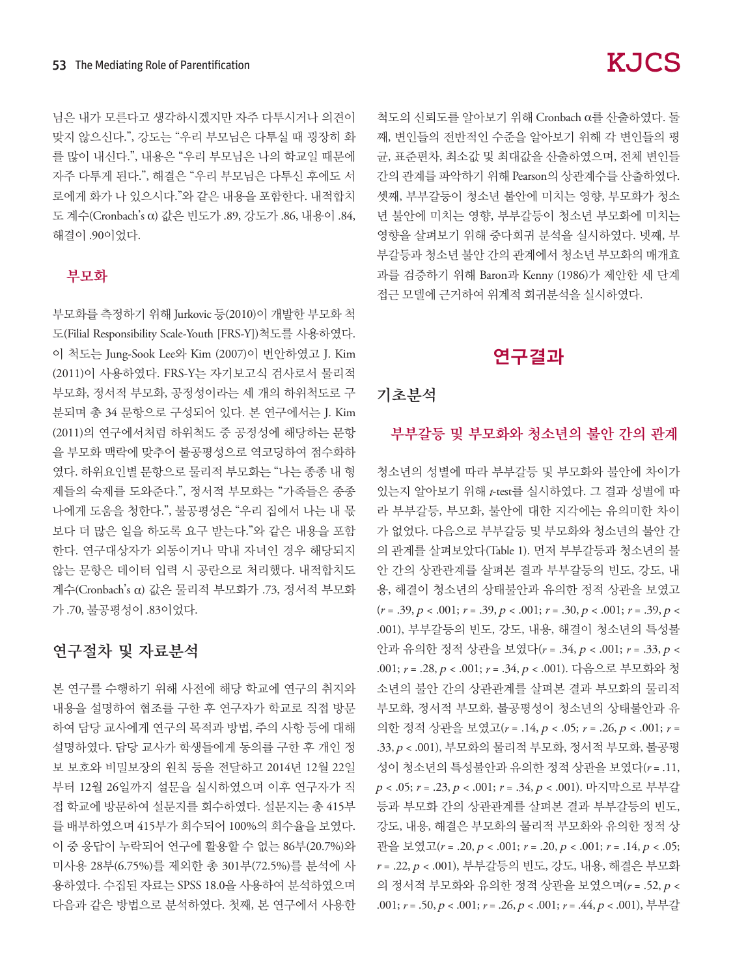님은 내가 모른다고 생각하시겠지만 자주 다투시거나 의견이 맞지 않으신다.", 강도는 "우리 부모님은 다투실 때 굉장히 화 를 많이 내신다.", 내용은 "우리 부모님은 나의 학교일 때문에 자주 다투게 된다.", 해결은 "우리 부모님은 다투신 후에도 서 로에게 화가 나 있으시다."와 같은 내용을 포함한다. 내적합치 도 계수(Cronbach's α) 값은 빈도가 .89, 강도가 .86, 내용이 .84, 해결이 .90이었다.

#### 부모화

부모화를 측정하기 위해 Jurkovic 등(2010)이 개발한 부모화 척 도(Filial Responsibility Scale-Youth [FRS-Y])척도를 사용하였다. 이 척도는 Jung-Sook Lee와 Kim (2007)이 번안하였고 J. Kim (2011)이 사용하였다. FRS-Y는 자기보고식 검사로서 물리적 부모화, 정서적 부모화, 공정성이라는 세 개의 하위척도로 구 분되며 총 34 문항으로 구성되어 있다. 본 연구에서는 J. Kim (2011)의 연구에서처럼 하위척도 중 공정성에 해당하는 문항 을 부모화 맥락에 맞추어 불공평성으로 역코딩하여 점수화하 였다. 하위요인별 문항으로 물리적 부모화는 "나는 종종 내 형 제들의 숙제를 도와준다.", 정서적 부모화는 "가족들은 종종 나에게 도움을 청한다.", 불공평성은 "우리 집에서 나는 내 몫 보다 더 많은 일을 하도록 요구 받는다."와 같은 내용을 포함 한다. 연구대상자가 외동이거나 막내 자녀인 경우 해당되지 않는 문항은 데이터 입력 시 공란으로 처리했다. 내적합치도 계수(Cronbach's α) 값은 물리적 부모화가 .73, 정서적 부모화 가 .70, 불공평성이 .83이었다.

### 연구절차 및 자료분석

본 연구를 수행하기 위해 사전에 해당 학교에 연구의 취지와 내용을 설명하여 협조를 구한 후 연구자가 학교로 직접 방문 하여 담당 교사에게 연구의 목적과 방법, 주의 사항 등에 대해 설명하였다. 담당 교사가 학생들에게 동의를 구한 후 개인 정 보 보호와 비밀보장의 원칙 등을 전달하고 2014년 12월 22일 부터 12월 26일까지 설문을 실시하였으며 이후 연구자가 직 접 학교에 방문하여 설문지를 회수하였다. 설문지는 총 415부 를 배부하였으며 415부가 회수되어 100%의 회수율을 보였다. 이 중 응답이 누락되어 연구에 활용할 수 없는 86부(20.7%)와 미사용 28부(6.75%)를 제외한 총 301부(72.5%)를 분석에 사 용하였다. 수집된 자료는 SPSS 18.0을 사용하여 분석하였으며 다음과 같은 방법으로 분석하였다. 첫째, 본 연구에서 사용한

# **KJCS**

척도의 신뢰도를 알아보기 위해 Cronbach α를 산출하였다. 둘 째, 변인들의 전반적인 수준을 알아보기 위해 각 변인들의 평 균, 표준편차, 최소값 및 최대값을 산출하였으며, 전체 변인들 간의 관계를 파악하기 위해 Pearson의 상관계수를 산출하였다. 셋째, 부부갈등이 청소년 불안에 미치는 영향, 부모화가 청소 년 불안에 미치는 영향, 부부갈등이 청소년 부모화에 미치는 영향을 살펴보기 위해 중다회귀 분석을 실시하였다. 넷째, 부 부갈등과 청소년 불안 간의 관계에서 청소년 부모화의 매개효 과를 검증하기 위해 Baron과 Kenny (1986)가 제안한 세 단계 접근 모델에 근거하여 위계적 회귀분석을 실시하였다.

# 연구결과

#### 기초분석

#### 부부갈등 및 부모화와 청소년의 불안 간의 관계

청소년의 성별에 따라 부부갈등 및 부모화와 불안에 차이가 있는지 알아보기 위해 *t*-test를 실시하였다. 그 결과 성별에 따 라 부부갈등, 부모화, 불안에 대한 지각에는 유의미한 차이 가 없었다. 다음으로 부부갈등 및 부모화와 청소년의 불안 간 의 관계를 살펴보았다(Table 1). 먼저 부부갈등과 청소년의 불 안 간의 상관관계를 살펴본 결과 부부갈등의 빈도, 강도, 내 용, 해결이 청소년의 상태불안과 유의한 정적 상관을 보였고 (*r* = .39, p < .001; *r* = .39, p < .001; *r* = .30, p < .001; *r* = .39, p < .001), 부부갈등의 빈도, 강도, 내용, 해결이 청소년의 특성불 안과 유의한 정적 상관을 보였다(*r* = .34, p < .001; *r* = .33, p < .001; *r* = .28, p < .001; *r* = .34, p < .001). 다음으로 부모화와 청 소년의 불안 간의 상관관계를 살펴본 결과 부모화의 물리적 부모화, 정서적 부모화, 불공평성이 청소년의 상태불안과 유 의한 정적 상관을 보였고(*r* = .14, p < .05; *r* = .26, p < .001; *r* = .33, p < .001), 부모화의 물리적 부모화, 정서적 부모화, 불공평 성이 청소년의 특성불안과 유의한 정적 상관을 보였다(*r* = .11, <sup>p</sup>< .05; *r* = .23, p < .001; *r* = .34, p < .001). 마지막으로 부부갈 등과 부모화 간의 상관관계를 살펴본 결과 부부갈등의 빈도, 강도, 내용, 해결은 부모화의 물리적 부모화와 유의한 정적 상 관을 보였고(*r* = .20, p < .001; *r* = .20, p < .001; *r* = .14, p < .05; *r* = .22, p < .001), 부부갈등의 빈도, 강도, 내용, 해결은 부모화 의 정서적 부모화와 유의한 정적 상관을 보였으며(*r* = .52, p < .001; *r* = .50, p < .001; *r* = .26, p < .001; *r* = .44, p < .001), 부부갈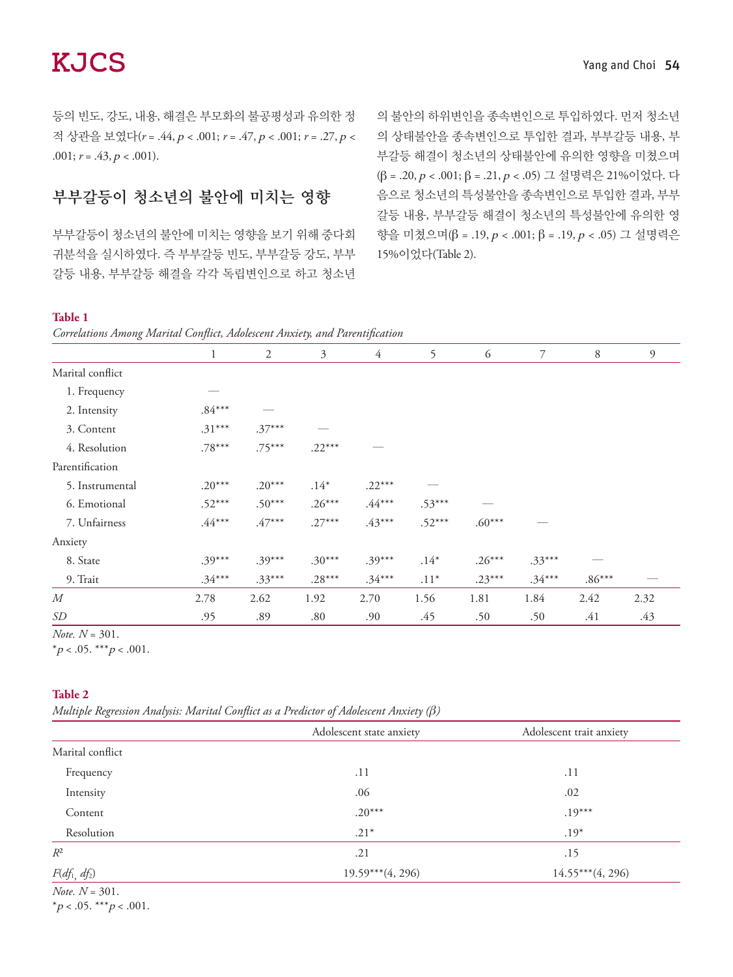등의 빈도, 강도, 내용, 해결은 부모화의 불공평성과 유의한 정 적 상관을 보였다(*r* = .44, p < .001; *r* = .47, p < .001; *r* = .27, p < .001;  $r = .43, p < .001$ ).

# 부부갈등이 청소년의 불안에 미치는 영향

부부갈등이 청소년의 불안에 미치는 영향을 보기 위해 중다회 귀분석을 실시하였다. 즉 부부갈등 빈도, 부부갈등 강도, 부부 갈등 내용, 부부갈등 해결을 각각 독립변인으로 하고 청소년

의 불안의 하위변인을 종속변인으로 투입하였다. 먼저 청소년 의 상태불안을 종속변인으로 투입한 결과, 부부갈등 내용, 부 부갈등 해결이 청소년의 상태불안에 유의한 영향을 미쳤으며 (β = .20, p < .001; β = .21, p < .05) 그 설명력은 21%이었다. 다 음으로 청소년의 특성불안을 종속변인으로 투입한 결과, 부부 갈등 내용, 부부갈등 해결이 청소년의 특성불안에 유의한 영 향을 미쳤으며(β = .19, p < .001; β = .19, p < .05) 그 설명력은 15%이었다(Table 2).

#### **Table 1**

*Correlations Among Marital Conflict, Adolescent Anxiety, and Parentification* 

|                  | $\mathbf{1}$ | $\overline{2}$ | 3        | $\overline{4}$ | 5        | 6        | 7        | 8        | 9    |
|------------------|--------------|----------------|----------|----------------|----------|----------|----------|----------|------|
| Marital conflict |              |                |          |                |          |          |          |          |      |
| 1. Frequency     |              |                |          |                |          |          |          |          |      |
| 2. Intensity     | $.84***$     |                |          |                |          |          |          |          |      |
| 3. Content       | $.31***$     | $.37***$       |          |                |          |          |          |          |      |
| 4. Resolution    | $.78***$     | $.75***$       | $.22***$ |                |          |          |          |          |      |
| Parentification  |              |                |          |                |          |          |          |          |      |
| 5. Instrumental  | $.20***$     | $.20***$       | $.14*$   | $.22***$       |          |          |          |          |      |
| 6. Emotional     | $.52***$     | $.50***$       | $.26***$ | $.44***$       | $.53***$ |          |          |          |      |
| 7. Unfairness    | $.44***$     | $.47***$       | $.27***$ | $.43***$       | $.52***$ | $.60***$ |          |          |      |
| Anxiety          |              |                |          |                |          |          |          |          |      |
| 8. State         | $.39***$     | $.39***$       | $.30***$ | $.39***$       | $.14*$   | $.26***$ | $.33***$ |          |      |
| 9. Trait         | $.34***$     | $.33***$       | $.28***$ | $.34***$       | $.11*$   | $.23***$ | $.34***$ | $.86***$ |      |
| M                | 2.78         | 2.62           | 1.92     | 2.70           | 1.56     | 1.81     | 1.84     | 2.42     | 2.32 |
| <i>SD</i>        | .95          | .89            | .80      | .90            | .45      | .50      | .50      | .41      | .43  |

*Note. N* = 301.

 $*_{p < .05}$ . \*\*\* $_{p < .001}$ .

#### **Table 2**

*Multiple Regression Analysis: Marital Conflict as a Predictor of Adolescent Anxiety (β)* 

|                          | Adolescent state anxiety | Adolescent trait anxiety |
|--------------------------|--------------------------|--------------------------|
| Marital conflict         |                          |                          |
| Frequency                | .11                      | .11                      |
| Intensity                | .06                      | .02                      |
| Content                  | $.20***$                 | $.19***$                 |
| Resolution               | $.21*$                   | $.19*$                   |
| $R^2$                    | .21                      | .15                      |
| $F(df_1, df_2)$          | $19.59***(4, 296)$       | $14.55***(4, 296)$       |
| <i>Note.</i> $N = 301$ . |                          |                          |

\* $p < .05$ . \*\*\* $p < .001$ .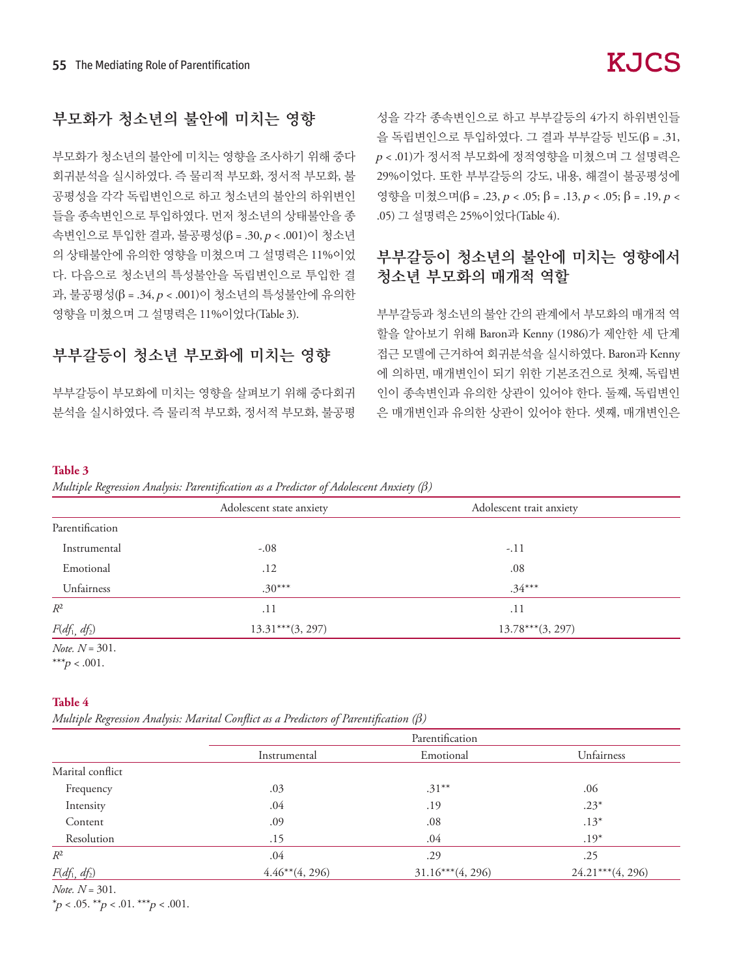# 부모화가 청소년의 불안에 미치는 영향

부모화가 청소년의 불안에 미치는 영향을 조사하기 위해 중다 회귀분석을 실시하였다. 즉 물리적 부모화, 정서적 부모화, 불 공평성을 각각 독립변인으로 하고 청소년의 불안의 하위변인 들을 종속변인으로 투입하였다. 먼저 청소년의 상태불안을 종 속변인으로 투입한 결과, 불공평성(β = .30, p < .001)이 청소년 의 상태불안에 유의한 영향을 미쳤으며 그 설명력은 11%이었 다. 다음으로 청소년의 특성불안을 독립변인으로 투입한 결 과, 불공평성(β = .34, p < .001)이 청소년의 특성불안에 유의한 영향을 미쳤으며 그 설명력은 11%이었다(Table 3).

### 부부갈등이 청소년 부모화에 미치는 영향

부부갈등이 부모화에 미치는 영향을 살펴보기 위해 중다회귀 분석을 실시하였다. 즉 물리적 부모화, 정서적 부모화, 불공평 성을 각각 종속변인으로 하고 부부갈등의 4가지 하위변인들 을 독립변인으로 투입하였다. 그 결과 부부갈등 빈도(β = .31, <sup>p</sup> < .01)가 정서적 부모화에 정적영향을 미쳤으며 그 설명력은 29%이었다. 또한 부부갈등의 강도, 내용, 해결이 불공평성에 영향을 미쳤으며(β = .23, p < .05; β = .13, p < .05; β = .19, p < .05) 그 설명력은 25%이었다(Table 4).

# 부부갈등이 청소년의 불안에 미치는 영향에서 청소년 부모화의 매개적 역할

부부갈등과 청소년의 불안 간의 관계에서 부모화의 매개적 역 할을 알아보기 위해 Baron과 Kenny (1986)가 제안한 세 단계 접근 모델에 근거하여 회귀분석을 실시하였다. Baron과 Kenny 에 의하면, 매개변인이 되기 위한 기본조건으로 첫째, 독립변 인이 종속변인과 유의한 상관이 있어야 한다. 둘째, 독립변인 은 매개변인과 유의한 상관이 있어야 한다. 셋째, 매개변인은

#### **Table 3**

*Multiple Regression Analysis: Parentification as a Predictor of Adolescent Anxiety (β)* 

|                 | Adolescent state anxiety | Adolescent trait anxiety |
|-----------------|--------------------------|--------------------------|
| Parentification |                          |                          |
| Instrumental    | $-.08$                   | $-.11$                   |
| Emotional       | .12                      | .08                      |
| Unfairness      | $.30***$                 | $.34***$                 |
| $R^2$           | .11                      | .11                      |
| $F(df_1, df_2)$ | $13.31***$ (3, 297)      | $13.78***$ (3, 297)      |

*Note. N* = 301. \*\*\* $p < .001$ .

#### **Table 4**

*Multiple Regression Analysis: Marital Conflict as a Predictors of Parentification (β)* 

| Parentification    |                     |  |  |  |
|--------------------|---------------------|--|--|--|
| Emotional          | Unfairness          |  |  |  |
|                    |                     |  |  |  |
| $.31***$           | .06                 |  |  |  |
| .19                | $.23*$              |  |  |  |
| .08                | $.13*$              |  |  |  |
| .04                | $.19*$              |  |  |  |
| .29                | .25                 |  |  |  |
| $31.16***(4, 296)$ | $24.21***$ (4, 296) |  |  |  |
|                    |                     |  |  |  |

*Note. N* = 301.

 $*_p$  < .05.  $*_p$  < .01.  $**_p$  < .001.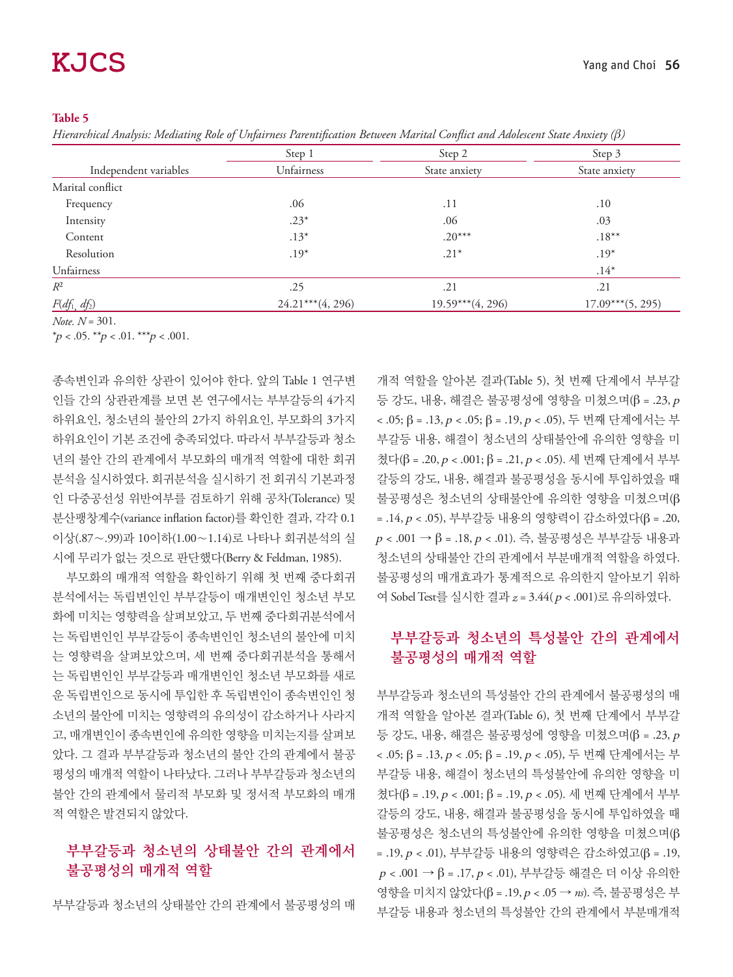#### **Table 5**

*Hierarchical Analysis: Mediating Role of Unfairness Parentification Between Marital Conflict and Adolescent State Anxiety (β)* 

|                       | Step 1             | Step 2             | Step 3             |  |
|-----------------------|--------------------|--------------------|--------------------|--|
| Independent variables | Unfairness         | State anxiety      | State anxiety      |  |
| Marital conflict      |                    |                    |                    |  |
| Frequency             | .06                | .11                | .10                |  |
| Intensity             | $.23*$             | .06                | .03                |  |
| Content               | $.13*$             | $.20***$           | $.18***$           |  |
| Resolution            | $.19*$             | $.21*$             | $.19*$             |  |
| Unfairness            |                    |                    | $.14*$             |  |
| $R^2$                 | .25                | .21                | .21                |  |
| $F(df_1, df_2)$       | $24.21***(4, 296)$ | $19.59***(4, 296)$ | $17.09***(5, 295)$ |  |

*Note. N* = 301. \*p < .05. \*\*p < .01. \*\*\*p < .001.

종속변인과 유의한 상관이 있어야 한다. 앞의 Table 1 연구변 인들 간의 상관관계를 보면 본 연구에서는 부부갈등의 4가지 하위요인, 청소년의 불안의 2가지 하위요인, 부모화의 3가지 하위요인이 기본 조건에 충족되었다. 따라서 부부갈등과 청소 년의 불안 간의 관계에서 부모화의 매개적 역할에 대한 회귀 분석을 실시하였다. 회귀분석을 실시하기 전 회귀식 기본과정 인 다중공선성 위반여부를 검토하기 위해 공차(Tolerance) 및 분산팽창계수(variance inflation factor)를 확인한 결과, 각각 0.1 이상(.87∼.99)과 10이하(1.00∼1.14)로 나타나 회귀분석의 실 시에 무리가 없는 것으로 판단했다(Berry & Feldman, 1985).

부모화의 매개적 역할을 확인하기 위해 첫 번째 중다회귀 분석에서는 독립변인인 부부갈등이 매개변인인 청소년 부모 화에 미치는 영향력을 살펴보았고, 두 번째 중다회귀분석에서 는 독립변인인 부부갈등이 종속변인인 청소년의 불안에 미치 는 영향력을 살펴보았으며, 세 번째 중다회귀분석을 통해서 는 독립변인인 부부갈등과 매개변인인 청소년 부모화를 새로 운 독립변인으로 동시에 투입한 후 독립변인이 종속변인인 청 소년의 불안에 미치는 영향력의 유의성이 감소하거나 사라지 고, 매개변인이 종속변인에 유의한 영향을 미치는지를 살펴보 았다. 그 결과 부부갈등과 청소년의 불안 간의 관계에서 불공 평성의 매개적 역할이 나타났다. 그러나 부부갈등과 청소년의 불안 간의 관계에서 물리적 부모화 및 정서적 부모화의 매개 적 역할은 발견되지 않았다.

### 부부갈등과 청소년의 상태불안 간의 관계에서 불공평성의 매개적 역할

부부갈등과 청소년의 상태불안 간의 관계에서 불공평성의 매

개적 역할을 알아본 결과(Table 5), 첫 번째 단계에서 부부갈 등 강도, 내용, 해결은 불공평성에 영향을 미쳤으며(β = .23, <sup>p</sup> < .05; β = .13, p < .05; β = .19, p < .05), 두 번째 단계에서는 부 부갈등 내용, 해결이 청소년의 상태불안에 유의한 영향을 미 쳤다(β = .20, p < .001; β = .21, p < .05). 세 번째 단계에서 부부 갈등의 강도, 내용, 해결과 불공평성을 동시에 투입하였을 때 불공평성은 청소년의 상태불안에 유의한 영향을 미쳤으며(β = .14, p < .05), 부부갈등 내용의 영향력이 감소하였다(β = .20,  $p$  < .001 → β = .18,  $p$  < .01). 즉, 불공평성은 부부갈등 내용과 청소년의 상태불안 간의 관계에서 부분매개적 역할을 하였다. 불공평성의 매개효과가 통계적으로 유의한지 알아보기 위하 여 Sobel Test를 실시한 결과 *z* = 3.44( p < .001)로 유의하였다.

### 부부갈등과 청소년의 특성불안 간의 관계에서 불공평성의 매개적 역할

부부갈등과 청소년의 특성불안 간의 관계에서 불공평성의 매 개적 역할을 알아본 결과(Table 6), 첫 번째 단계에서 부부갈 등 강도, 내용, 해결은 불공평성에 영향을 미쳤으며(β = .23, p < .05; β = .13, p < .05; β = .19, p < .05), 두 번째 단계에서는 부 부갈등 내용, 해결이 청소년의 특성불안에 유의한 영향을 미 쳤다(β = .19, p < .001; β = .19, p < .05). 세 번째 단계에서 부부 갈등의 강도, 내용, 해결과 불공평성을 동시에 투입하였을 때 불공평성은 청소년의 특성불안에 유의한 영향을 미쳤으며(β = .19, p < .01), 부부갈등 내용의 영향력은 감소하였고(β = .19,  $p$  < .001 → β = .17,  $p$  < .01), 부부갈등 해결은 더 이상 유의한 영향을 미치지 않았다(β = .19, p < .05 → *ns*). 즉, 불공평성은 부 부갈등 내용과 청소년의 특성불안 간의 관계에서 부분매개적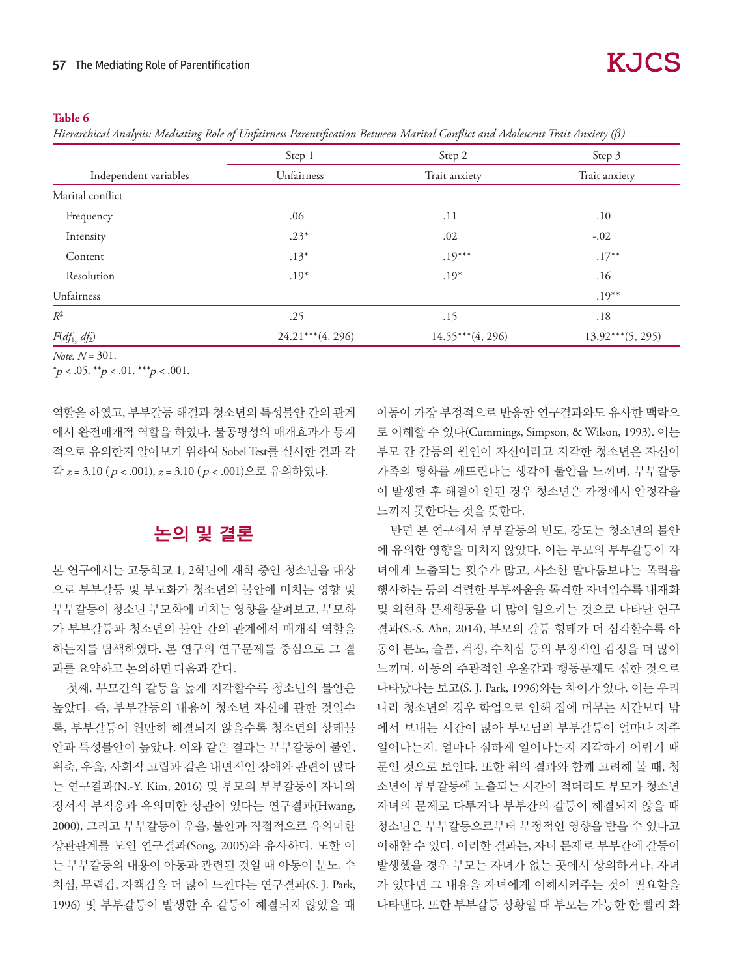#### **Table 6**

*Hierarchical Analysis: Mediating Role of Unfairness Parentification Between Marital Conflict and Adolescent Trait Anxiety (β)* 

|                       | Step 1              | Step 2             | Step 3             |
|-----------------------|---------------------|--------------------|--------------------|
| Independent variables | Unfairness          | Trait anxiety      | Trait anxiety      |
| Marital conflict      |                     |                    |                    |
| Frequency             | .06                 | .11                | .10                |
| Intensity             | $.23*$              | .02                | $-.02$             |
| Content               | $.13*$              | $.19***$           | $.17***$           |
| Resolution            | $.19*$              | $.19*$             | .16                |
| Unfairness            |                     |                    | $.19***$           |
| $R^2$                 | .25                 | .15                | .18                |
| $F(df_1, df_2)$       | $24.21***$ (4, 296) | $14.55***(4, 296)$ | $13.92***(5, 295)$ |

*Note. N* = 301.

\*p < .05. \*\*p < .01. \*\*\*p < .001.

역할을 하였고, 부부갈등 해결과 청소년의 특성불안 간의 관계 에서 완전매개적 역할을 하였다. 불공평성의 매개효과가 통계 적으로 유의한지 알아보기 위하여 Sobel Test를 실시한 결과 각 각 *z* = 3.10 ( p < .001), *z* = 3.10 ( p < .001)으로 유의하였다.

# 논의 및 결론

본 연구에서는 고등학교 1, 2학년에 재학 중인 청소년을 대상 으로 부부갈등 및 부모화가 청소년의 불안에 미치는 영향 및 부부갈등이 청소년 부모화에 미치는 영향을 살펴보고, 부모화 가 부부갈등과 청소년의 불안 간의 관계에서 매개적 역할을 하는지를 탐색하였다. 본 연구의 연구문제를 중심으로 그 결 과를 요약하고 논의하면 다음과 같다.

첫째, 부모간의 갈등을 높게 지각할수록 청소년의 불안은 높았다. 즉, 부부갈등의 내용이 청소년 자신에 관한 것일수 록, 부부갈등이 원만히 해결되지 않을수록 청소년의 상태불 안과 특성불안이 높았다. 이와 같은 결과는 부부갈등이 불안, 위축, 우울, 사회적 고립과 같은 내면적인 장애와 관련이 많다 는 연구결과(N.-Y. Kim, 2016) 및 부모의 부부갈등이 자녀의 정서적 부적응과 유의미한 상관이 있다는 연구결과(Hwang, 2000), 그리고 부부갈등이 우울, 불안과 직접적으로 유의미한 상관관계를 보인 연구결과(Song, 2005)와 유사하다. 또한 이 는 부부갈등의 내용이 아동과 관련된 것일 때 아동이 분노, 수 치심, 무력감, 자책감을 더 많이 느낀다는 연구결과(S. J. Park, 1996) 및 부부갈등이 발생한 후 갈등이 해결되지 않았을 때 아동이 가장 부정적으로 반응한 연구결과와도 유사한 맥락으 로 이해할 수 있다(Cummings, Simpson, & Wilson, 1993). 이는 부모 간 갈등의 원인이 자신이라고 지각한 청소년은 자신이 가족의 평화를 깨뜨린다는 생각에 불안을 느끼며, 부부갈등 이 발생한 후 해결이 안된 경우 청소년은 가정에서 안정감을 느끼지 못한다는 것을 뜻한다.

반면 본 연구에서 부부갈등의 빈도, 강도는 청소년의 불안 에 유의한 영향을 미치지 않았다. 이는 부모의 부부갈등이 자 녀에게 노출되는 횟수가 많고, 사소한 말다툼보다는 폭력을 행사하는 등의 격렬한 부부싸움을 목격한 자녀일수록 내재화 및 외현화 문제행동을 더 많이 일으키는 것으로 나타난 연구 결과(S.-S. Ahn, 2014), 부모의 갈등 형태가 더 심각할수록 아 동이 분노, 슬픔, 걱정, 수치심 등의 부정적인 감정을 더 많이 느끼며, 아동의 주관적인 우울감과 행동문제도 심한 것으로 나타났다는 보고(S. J. Park, 1996)와는 차이가 있다. 이는 우리 나라 청소년의 경우 학업으로 인해 집에 머무는 시간보다 밖 에서 보내는 시간이 많아 부모님의 부부갈등이 얼마나 자주 일어나는지, 얼마나 심하게 일어나는지 지각하기 어렵기 때 문인 것으로 보인다. 또한 위의 결과와 함께 고려해 볼 때, 청 소년이 부부갈등에 노출되는 시간이 적더라도 부모가 청소년 자녀의 문제로 다투거나 부부간의 갈등이 해결되지 않을 때 청소년은 부부갈등으로부터 부정적인 영향을 받을 수 있다고 이해할 수 있다. 이러한 결과는, 자녀 문제로 부부간에 갈등이 발생했을 경우 부모는 자녀가 없는 곳에서 상의하거나, 자녀 가 있다면 그 내용을 자녀에게 이해시켜주는 것이 필요함을 나타낸다. 또한 부부갈등 상황일 때 부모는 가능한 한 빨리 화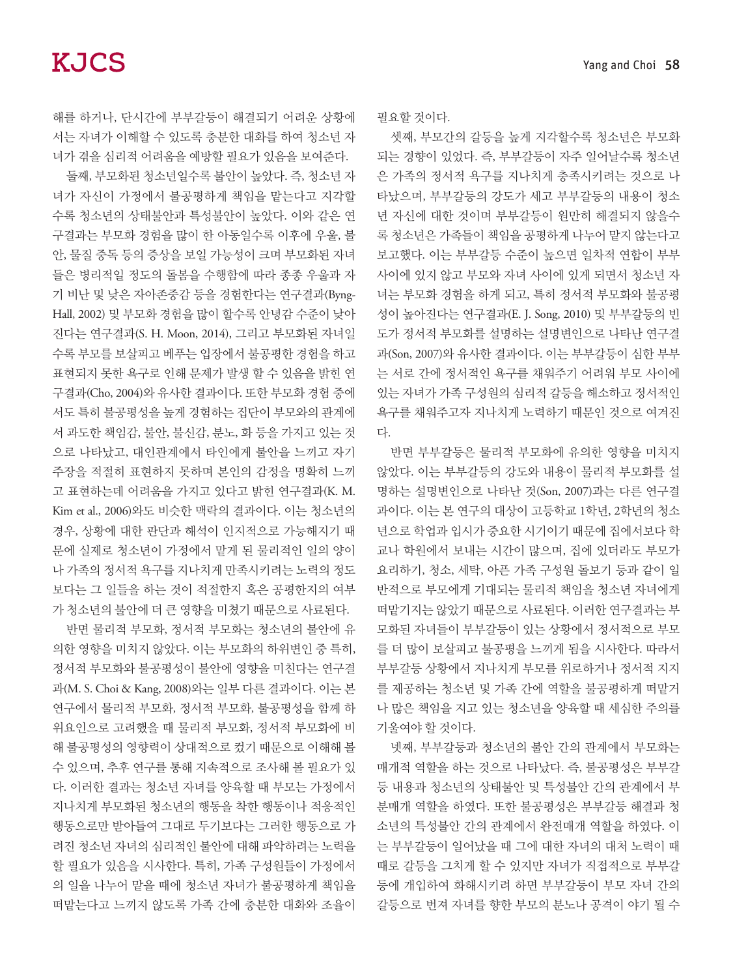해를 하거나, 단시간에 부부갈등이 해결되기 어려운 상황에 서는 자녀가 이해할 수 있도록 충분한 대화를 하여 청소년 자 녀가 겪을 심리적 어려움을 예방할 필요가 있음을 보여준다.

둘째, 부모화된 청소년일수록 불안이 높았다. 즉, 청소년 자 녀가 자신이 가정에서 불공평하게 책임을 맡는다고 지각할 수록 청소년의 상태불안과 특성불안이 높았다. 이와 같은 연 구결과는 부모화 경험을 많이 한 아동일수록 이후에 우울, 불 안, 물질 중독 등의 증상을 보일 가능성이 크며 부모화된 자녀 들은 병리적일 정도의 돌봄을 수행함에 따라 종종 우울과 자 기 비난 및 낮은 자아존중감 등을 경험한다는 연구결과(Byng-Hall, 2002) 및 부모화 경험을 많이 할수록 안녕감 수준이 낮아 진다는 연구결과(S. H. Moon, 2014), 그리고 부모화된 자녀일 수록 부모를 보살피고 베푸는 입장에서 불공평한 경험을 하고 표현되지 못한 욕구로 인해 문제가 발생 할 수 있음을 밝힌 연 구결과(Cho, 2004)와 유사한 결과이다. 또한 부모화 경험 중에 서도 특히 불공평성을 높게 경험하는 집단이 부모와의 관계에 서 과도한 책임감, 불안, 불신감, 분노, 화 등을 가지고 있는 것 으로 나타났고, 대인관계에서 타인에게 불안을 느끼고 자기 주장을 적절히 표현하지 못하며 본인의 감정을 명확히 느끼 고 표현하는데 어려움을 가지고 있다고 밝힌 연구결과(K. M. Kim et al., 2006)와도 비슷한 맥락의 결과이다. 이는 청소년의 경우, 상황에 대한 판단과 해석이 인지적으로 가능해지기 때 문에 실제로 청소년이 가정에서 맡게 된 물리적인 일의 양이 나 가족의 정서적 욕구를 지나치게 만족시키려는 노력의 정도 보다는 그 일들을 하는 것이 적절한지 혹은 공평한지의 여부 가 청소년의 불안에 더 큰 영향을 미쳤기 때문으로 사료된다.

반면 물리적 부모화, 정서적 부모화는 청소년의 불안에 유 의한 영향을 미치지 않았다. 이는 부모화의 하위변인 중 특히, 정서적 부모화와 불공평성이 불안에 영향을 미친다는 연구결 과(M. S. Choi & Kang, 2008)와는 일부 다른 결과이다. 이는 본 연구에서 물리적 부모화, 정서적 부모화, 불공평성을 함께 하 위요인으로 고려했을 때 물리적 부모화, 정서적 부모화에 비 해 불공평성의 영향력이 상대적으로 컸기 때문으로 이해해 볼 수 있으며, 추후 연구를 통해 지속적으로 조사해 볼 필요가 있 다. 이러한 결과는 청소년 자녀를 양육할 때 부모는 가정에서 지나치게 부모화된 청소년의 행동을 착한 행동이나 적응적인 행동으로만 받아들여 그대로 두기보다는 그러한 행동으로 가 려진 청소년 자녀의 심리적인 불안에 대해 파악하려는 노력을 할 필요가 있음을 시사한다. 특히, 가족 구성원들이 가정에서 의 일을 나누어 맡을 때에 청소년 자녀가 불공평하게 책임을 떠맡는다고 느끼지 않도록 가족 간에 충분한 대화와 조율이 필요할 것이다.

셋째, 부모간의 갈등을 높게 지각할수록 청소년은 부모화 되는 경향이 있었다. 즉, 부부갈등이 자주 일어날수록 청소년 은 가족의 정서적 욕구를 지나치게 충족시키려는 것으로 나 타났으며, 부부갈등의 강도가 세고 부부갈등의 내용이 청소 년 자신에 대한 것이며 부부갈등이 원만히 해결되지 않을수 록 청소년은 가족들이 책임을 공평하게 나누어 맡지 않는다고 보고했다. 이는 부부갈등 수준이 높으면 일차적 연합이 부부 사이에 있지 않고 부모와 자녀 사이에 있게 되면서 청소년 자 녀는 부모화 경험을 하게 되고, 특히 정서적 부모화와 불공평 성이 높아진다는 연구결과(E. J. Song, 2010) 및 부부갈등의 빈 도가 정서적 부모화를 설명하는 설명변인으로 나타난 연구결 과(Son, 2007)와 유사한 결과이다. 이는 부부갈등이 심한 부부 는 서로 간에 정서적인 욕구를 채워주기 어려워 부모 사이에 있는 자녀가 가족 구성원의 심리적 갈등을 해소하고 정서적인 욕구를 채워주고자 지나치게 노력하기 때문인 것으로 여겨진 다.

반면 부부갈등은 물리적 부모화에 유의한 영향을 미치지 않았다. 이는 부부갈등의 강도와 내용이 물리적 부모화를 설 명하는 설명변인으로 나타난 것(Son, 2007)과는 다른 연구결 과이다. 이는 본 연구의 대상이 고등학교 1학년, 2학년의 청소 년으로 학업과 입시가 중요한 시기이기 때문에 집에서보다 학 교나 학원에서 보내는 시간이 많으며, 집에 있더라도 부모가 요리하기, 청소, 세탁, 아픈 가족 구성원 돌보기 등과 같이 일 반적으로 부모에게 기대되는 물리적 책임을 청소년 자녀에게 떠맡기지는 않았기 때문으로 사료된다. 이러한 연구결과는 부 모화된 자녀들이 부부갈등이 있는 상황에서 정서적으로 부모 를 더 많이 보살피고 불공평을 느끼게 됨을 시사한다. 따라서 부부갈등 상황에서 지나치게 부모를 위로하거나 정서적 지지 를 제공하는 청소년 및 가족 간에 역할을 불공평하게 떠맡거 나 많은 책임을 지고 있는 청소년을 양육할 때 세심한 주의를 기울여야 할 것이다.

넷째, 부부갈등과 청소년의 불안 간의 관계에서 부모화는 매개적 역할을 하는 것으로 나타났다. 즉, 불공평성은 부부갈 등 내용과 청소년의 상태불안 및 특성불안 간의 관계에서 부 분매개 역할을 하였다. 또한 불공평성은 부부갈등 해결과 청 소년의 특성불안 간의 관계에서 완전매개 역할을 하였다. 이 는 부부갈등이 일어났을 때 그에 대한 자녀의 대처 노력이 때 때로 갈등을 그치게 할 수 있지만 자녀가 직접적으로 부부갈 등에 개입하여 화해시키려 하면 부부갈등이 부모 자녀 간의 갈등으로 번져 자녀를 향한 부모의 분노나 공격이 야기 될 수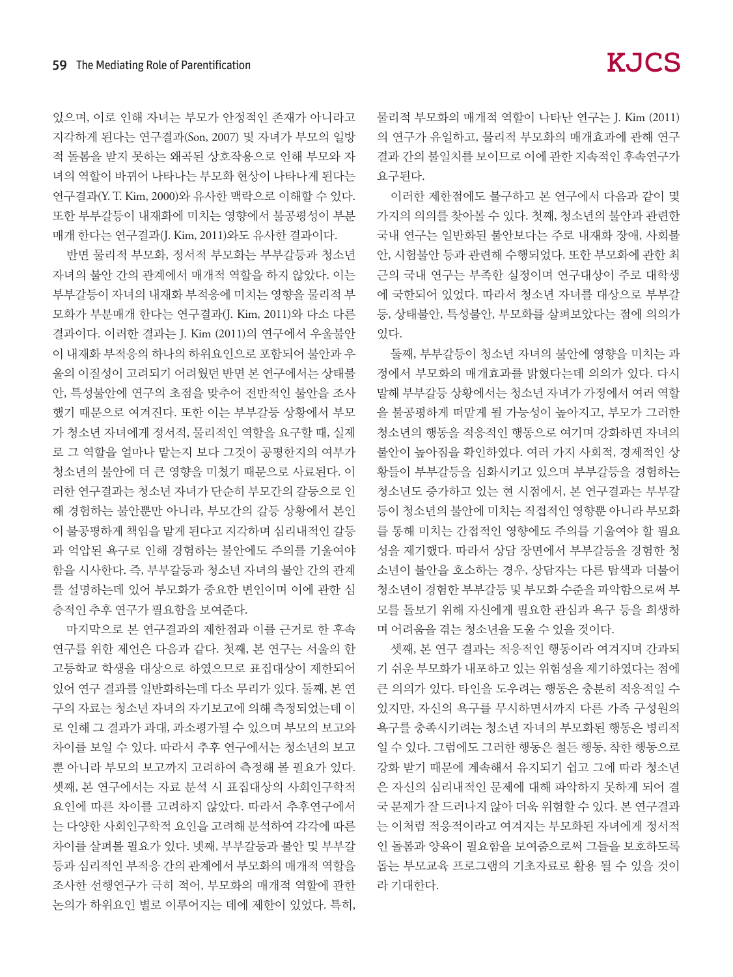있으며, 이로 인해 자녀는 부모가 안정적인 존재가 아니라고 지각하게 된다는 연구결과(Son, 2007) 및 자녀가 부모의 일방 적 돌봄을 받지 못하는 왜곡된 상호작용으로 인해 부모와 자 녀의 역할이 바뀌어 나타나는 부모화 현상이 나타나게 된다는 연구결과(Y. T. Kim, 2000)와 유사한 맥락으로 이해할 수 있다. 또한 부부갈등이 내재화에 미치는 영향에서 불공평성이 부분 매개 한다는 연구결과(J. Kim, 2011)와도 유사한 결과이다.

반면 물리적 부모화, 정서적 부모화는 부부갈등과 청소년 자녀의 불안 간의 관계에서 매개적 역할을 하지 않았다. 이는 부부갈등이 자녀의 내재화 부적응에 미치는 영향을 물리적 부 모화가 부분매개 한다는 연구결과(J. Kim, 2011)와 다소 다른 결과이다. 이러한 결과는 J. Kim (2011)의 연구에서 우울불안 이 내재화 부적응의 하나의 하위요인으로 포함되어 불안과 우 울의 이질성이 고려되기 어려웠던 반면 본 연구에서는 상태불 안, 특성불안에 연구의 초점을 맞추어 전반적인 불안을 조사 했기 때문으로 여겨진다. 또한 이는 부부갈등 상황에서 부모 가 청소년 자녀에게 정서적, 물리적인 역할을 요구할 때, 실제 로 그 역할을 얼마나 맡는지 보다 그것이 공평한지의 여부가 청소년의 불안에 더 큰 영향을 미쳤기 때문으로 사료된다. 이 러한 연구결과는 청소년 자녀가 단순히 부모간의 갈등으로 인 해 경험하는 불안뿐만 아니라, 부모간의 갈등 상황에서 본인 이 불공평하게 책임을 맡게 된다고 지각하며 심리내적인 갈등 과 억압된 욕구로 인해 경험하는 불안에도 주의를 기울여야 함을 시사한다. 즉, 부부갈등과 청소년 자녀의 불안 간의 관계 를 설명하는데 있어 부모화가 중요한 변인이며 이에 관한 심 층적인 추후 연구가 필요함을 보여준다.

마지막으로 본 연구결과의 제한점과 이를 근거로 한 후속 연구를 위한 제언은 다음과 같다. 첫째, 본 연구는 서울의 한 고등학교 학생을 대상으로 하였으므로 표집대상이 제한되어 있어 연구 결과를 일반화하는데 다소 무리가 있다. 둘째, 본 연 구의 자료는 청소년 자녀의 자기보고에 의해 측정되었는데 이 로 인해 그 결과가 과대, 과소평가될 수 있으며 부모의 보고와 차이를 보일 수 있다. 따라서 추후 연구에서는 청소년의 보고 뿐 아니라 부모의 보고까지 고려하여 측정해 볼 필요가 있다. 셋째, 본 연구에서는 자료 분석 시 표집대상의 사회인구학적 요인에 따른 차이를 고려하지 않았다. 따라서 추후연구에서 는 다양한 사회인구학적 요인을 고려해 분석하여 각각에 따른 차이를 살펴볼 필요가 있다. 넷째, 부부갈등과 불안 및 부부갈 등과 심리적인 부적응 간의 관계에서 부모화의 매개적 역할을 조사한 선행연구가 극히 적어, 부모화의 매개적 역할에 관한 논의가 하위요인 별로 이루어지는 데에 제한이 있었다. 특히,

물리적 부모화의 매개적 역할이 나타난 연구는 J. Kim (2011) 의 연구가 유일하고, 물리적 부모화의 매개효과에 관해 연구 결과 간의 불일치를 보이므로 이에 관한 지속적인 후속연구가 요구된다.

이러한 제한점에도 불구하고 본 연구에서 다음과 같이 몇 가지의 의의를 찾아볼 수 있다. 첫째, 청소년의 불안과 관련한 국내 연구는 일반화된 불안보다는 주로 내재화 장애, 사회불 안, 시험불안 등과 관련해 수행되었다. 또한 부모화에 관한 최 근의 국내 연구는 부족한 실정이며 연구대상이 주로 대학생 에 국한되어 있었다. 따라서 청소년 자녀를 대상으로 부부갈 등, 상태불안, 특성불안, 부모화를 살펴보았다는 점에 의의가 있다.

둘째, 부부갈등이 청소년 자녀의 불안에 영향을 미치는 과 정에서 부모화의 매개효과를 밝혔다는데 의의가 있다. 다시 말해 부부갈등 상황에서는 청소년 자녀가 가정에서 여러 역할 을 불공평하게 떠맡게 될 가능성이 높아지고, 부모가 그러한 청소년의 행동을 적응적인 행동으로 여기며 강화하면 자녀의 불안이 높아짐을 확인하였다. 여러 가지 사회적, 경제적인 상 황들이 부부갈등을 심화시키고 있으며 부부갈등을 경험하는 청소년도 증가하고 있는 현 시점에서, 본 연구결과는 부부갈 등이 청소년의 불안에 미치는 직접적인 영향뿐 아니라 부모화 를 통해 미치는 간접적인 영향에도 주의를 기울여야 할 필요 성을 제기했다. 따라서 상담 장면에서 부부갈등을 경험한 청 소년이 불안을 호소하는 경우, 상담자는 다른 탐색과 더불어 청소년이 경험한 부부갈등 및 부모화 수준을 파악함으로써 부 모를 돌보기 위해 자신에게 필요한 관심과 욕구 등을 희생하 며 어려움을 겪는 청소년을 도울 수 있을 것이다.

셋째, 본 연구 결과는 적응적인 행동이라 여겨지며 간과되 기 쉬운 부모화가 내포하고 있는 위험성을 제기하였다는 점에 큰 의의가 있다. 타인을 도우려는 행동은 충분히 적응적일 수 있지만, 자신의 욕구를 무시하면서까지 다른 가족 구성원의 욕구를 충족시키려는 청소년 자녀의 부모화된 행동은 병리적 일 수 있다. 그럼에도 그러한 행동은 철든 행동, 착한 행동으로 강화 받기 때문에 계속해서 유지되기 쉽고 그에 따라 청소년 은 자신의 심리내적인 문제에 대해 파악하지 못하게 되어 결 국 문제가 잘 드러나지 않아 더욱 위험할 수 있다. 본 연구결과 는 이처럼 적응적이라고 여겨지는 부모화된 자녀에게 정서적 인 돌봄과 양육이 필요함을 보여줌으로써 그들을 보호하도록 돕는 부모교육 프로그램의 기초자료로 활용 될 수 있을 것이 라 기대한다.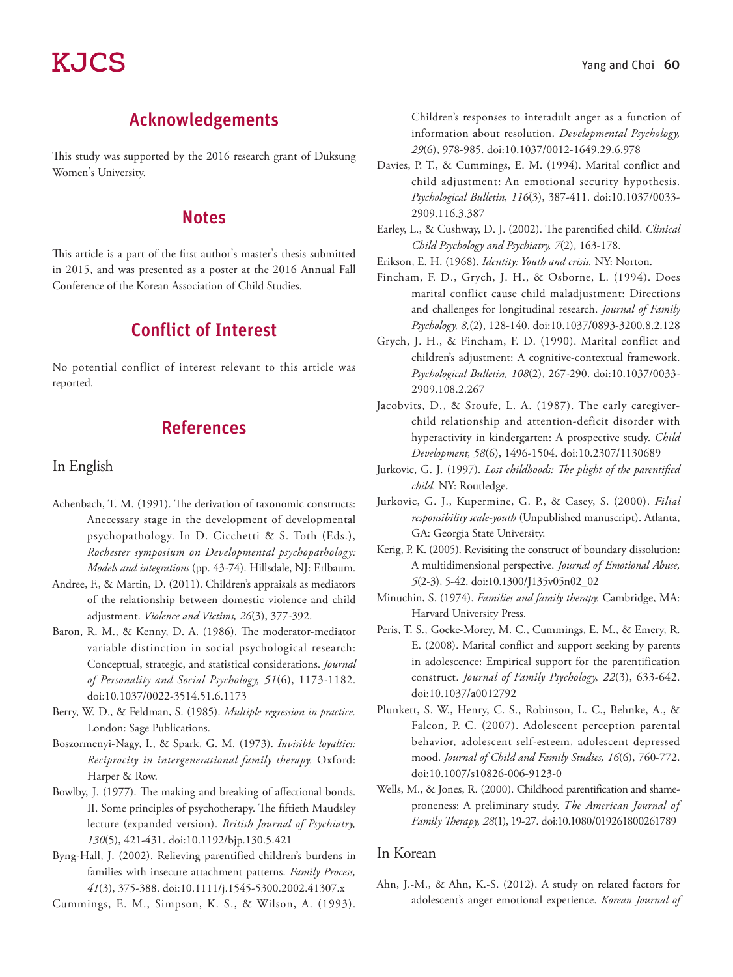# Acknowledgements

This study was supported by the 2016 research grant of Duksung Women's University.

### **Notes**

This article is a part of the first author's master's thesis submitted in 2015, and was presented as a poster at the 2016 Annual Fall Conference of the Korean Association of Child Studies.

# Conflict of Interest

No potential conflict of interest relevant to this article was reported.

# References

#### In English

- Achenbach, T. M. (1991). The derivation of taxonomic constructs: Anecessary stage in the development of developmental psychopathology. In D. Cicchetti & S. Toth (Eds.), *Rochester symposium on Developmental psychopathology: Models and integrations* (pp. 43-74). Hillsdale, NJ: Erlbaum.
- Andree, F., & Martin, D. (2011). Children's appraisals as mediators of the relationship between domestic violence and child adjustment. *Violence and Victims, 26*(3), 377-392.
- Baron, R. M., & Kenny, D. A. (1986). The moderator-mediator variable distinction in social psychological research: Conceptual, strategic, and statistical considerations. *Journal of Personality and Social Psychology, 51*(6), 1173-1182. doi:10.1037/0022-3514.51.6.1173
- Berry, W. D., & Feldman, S. (1985). *Multiple regression in practice.* London: Sage Publications.
- Boszormenyi-Nagy, I., & Spark, G. M. (1973). *Invisible loyalties: Reciprocity in intergenerational family therapy.* Oxford: Harper & Row.
- Bowlby, J. (1977). The making and breaking of affectional bonds. II. Some principles of psychotherapy. The fiftieth Maudsley lecture (expanded version). *British Journal of Psychiatry, 130*(5), 421-431. doi:10.1192/bjp.130.5.421
- Byng-Hall, J. (2002). Relieving parentified children's burdens in families with insecure attachment patterns. *Family Process, 41*(3), 375-388. doi:10.1111/j.1545-5300.2002.41307.x

Cummings, E. M., Simpson, K. S., & Wilson, A. (1993).

Children's responses to interadult anger as a function of information about resolution. *Developmental Psychology, 29*(6), 978-985. doi:10.1037/0012-1649.29.6.978

- Davies, P. T., & Cummings, E. M. (1994). Marital conflict and child adjustment: An emotional security hypothesis. *Psychological Bulletin, 116*(3), 387-411. doi:10.1037/0033- 2909.116.3.387
- Earley, L., & Cushway, D. J. (2002). The parentified child. *Clinical Child Psychology and Psychiatry, 7*(2), 163-178.
- Erikson, E. H. (1968). *Identity: Youth and crisis.* NY: Norton.
- Fincham, F. D., Grych, J. H., & Osborne, L. (1994). Does marital conflict cause child maladjustment: Directions and challenges for longitudinal research. *Journal of Family Psychology, 8,*(2), 128-140. doi:10.1037/0893-3200.8.2.128
- Grych, J. H., & Fincham, F. D. (1990). Marital conflict and children's adjustment: A cognitive-contextual framework. *Psychological Bulletin, 108*(2), 267-290. doi:10.1037/0033- 2909.108.2.267
- Jacobvits, D., & Sroufe, L. A. (1987). The early caregiverchild relationship and attention-deficit disorder with hyperactivity in kindergarten: A prospective study. *Child Development, 58*(6), 1496-1504. doi:10.2307/1130689
- Jurkovic, G. J. (1997). *Lost childhoods: The plight of the parentified child.* NY: Routledge.
- Jurkovic, G. J., Kupermine, G. P., & Casey, S. (2000). *Filial responsibility scale-youth* (Unpublished manuscript). Atlanta, GA: Georgia State University.
- Kerig, P. K. (2005). Revisiting the construct of boundary dissolution: A multidimensional perspective. *Journal of Emotional Abuse, 5*(2-3), 5-42. doi:10.1300/J135v05n02\_02
- Minuchin, S. (1974). *Families and family therapy.* Cambridge, MA: Harvard University Press.
- Peris, T. S., Goeke-Morey, M. C., Cummings, E. M., & Emery, R. E. (2008). Marital conflict and support seeking by parents in adolescence: Empirical support for the parentification construct. *Journal of Family Psychology, 22*(3), 633-642. doi:10.1037/a0012792
- Plunkett, S. W., Henry, C. S., Robinson, L. C., Behnke, A., & Falcon, P. C. (2007). Adolescent perception parental behavior, adolescent self-esteem, adolescent depressed mood. *Journal of Child and Family Studies, 16*(6), 760-772. doi:10.1007/s10826-006-9123-0
- Wells, M., & Jones, R. (2000). Childhood parentification and shameproneness: A preliminary study. *The American Journal of Family Therapy, 28*(1), 19-27. doi:10.1080/019261800261789

#### In Korean

Ahn, J.-M., & Ahn, K.-S. (2012). A study on related factors for adolescent's anger emotional experience. *Korean Journal of*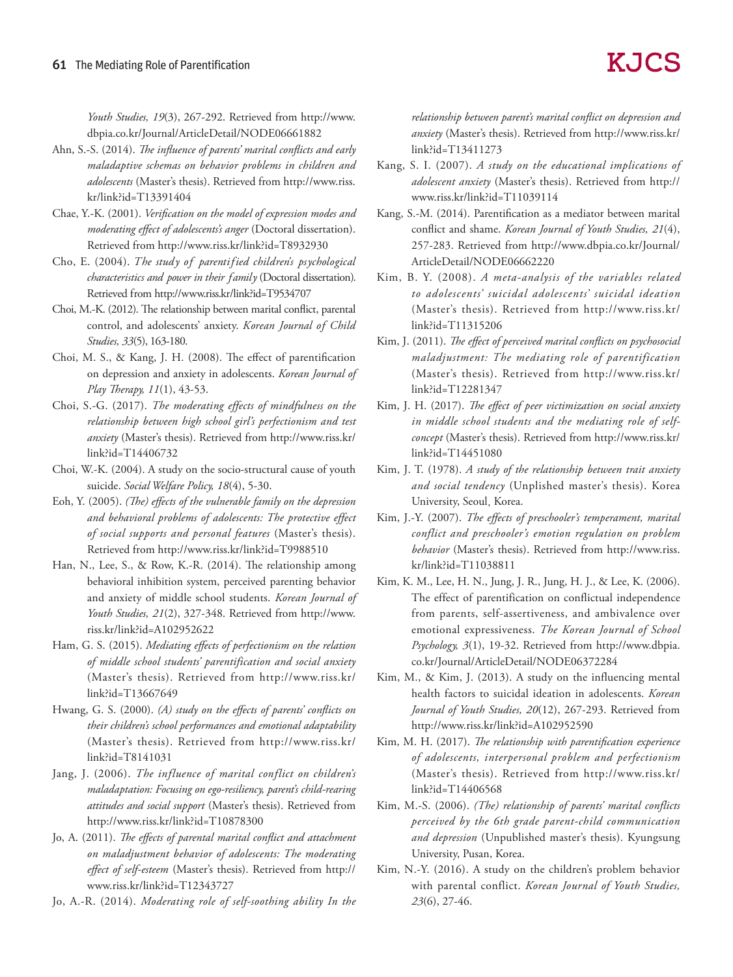*Youth Studies, 19*(3), 267-292. Retrieved from http://www. dbpia.co.kr/Journal/ArticleDetail/NODE06661882

- Ahn, S.-S. (2014). *The influence of parents' marital conflicts and early maladaptive schemas on behavior problems in children and adolescents* (Master's thesis). Retrieved from http://www.riss. kr/link?id=T13391404
- Chae, Y.-K. (2001). *Verification on the model of expression modes and moderating effect of adolescents's anger* (Doctoral dissertation). Retrieved from http://www.riss.kr/link?id=T8932930
- Cho, E. (2004). *The study of parentified children's psychological characteristics and power in their family* (Doctoral dissertation). Retrieved from http://www.riss.kr/link?id=T9534707
- Choi, M.-K. (2012). The relationship between marital conflict, parental control, and adolescents' anxiety. *Korean Journal of Child Studies, 33*(5), 163-180.
- Choi, M. S., & Kang, J. H. (2008). The effect of parentification on depression and anxiety in adolescents. *Korean Journal of Play Therapy, 11*(1), 43-53.
- Choi, S.-G. (2017). *The moderating effects of mindfulness on the relationship between high school girl's perfectionism and test anxiety* (Master's thesis). Retrieved from http://www.riss.kr/ link?id=T14406732
- Choi, W.-K. (2004). A study on the socio-structural cause of youth suicide. *Social Welfare Policy, 18*(4), 5-30.
- Eoh, Y. (2005). *(The) effects of the vulnerable family on the depression and behavioral problems of adolescents: The protective effect of social supports and personal features* (Master's thesis). Retrieved from http://www.riss.kr/link?id=T9988510
- Han, N., Lee, S., & Row, K.-R. (2014). The relationship among behavioral inhibition system, perceived parenting behavior and anxiety of middle school students. *Korean Journal of Youth Studies, 21*(2), 327-348. Retrieved from http://www. riss.kr/link?id=A102952622
- Ham, G. S. (2015). *Mediating effects of perfectionism on the relation of middle school students' parentification and social anxiety* (Master's thesis). Retrieved from http://www.riss.kr/ link?id=T13667649
- Hwang, G. S. (2000). *(A) study on the effects of parents' conflicts on their children's school performances and emotional adaptability*  (Master's thesis). Retrieved from http://www.riss.kr/ link?id=T8141031
- Jang, J. (2006). *The influence of marital conflict on children's maladaptation: Focusing on ego-resiliency, parent's child-rearing attitudes and social support* (Master's thesis). Retrieved from http://www.riss.kr/link?id=T10878300
- Jo, A. (2011). *The effects of parental marital conflict and attachment on maladjustment behavior of adolescents: The moderating effect of self-esteem* (Master's thesis). Retrieved from http:// www.riss.kr/link?id=T12343727
- Jo, A.-R. (2014). *Moderating role of self-soothing ability In the*

*relationship between parent's marital conflict on depression and anxiety* (Master's thesis). Retrieved from http://www.riss.kr/ link?id=T13411273

- Kang, S. I. (2007). *A study on the educational implications of adolescent anxiety* (Master's thesis). Retrieved from http:// www.riss.kr/link?id=T11039114
- Kang, S.-M. (2014). Parentification as a mediator between marital conflict and shame. *Korean Journal of Youth Studies, 21*(4), 257-283. Retrieved from http://www.dbpia.co.kr/Journal/ ArticleDetail/NODE06662220
- Kim, B. Y. (2008). *A meta-analysis of the variables related to adolescents' suicidal adolescents' suicidal ideation*  (Master's thesis). Retrieved from http://www.riss.kr/ link?id=T11315206
- Kim, J. (2011). *The effect of perceived marital conflicts on psychosocial maladjustment: The mediating role of parentification* (Master's thesis). Retrieved from http://www.riss.kr/ link?id=T12281347
- Kim, J. H. (2017). *The effect of peer victimization on social anxiety in middle school students and the mediating role of selfconcept* (Master's thesis). Retrieved from http://www.riss.kr/ link?id=T14451080
- Kim, J. T. (1978). *A study of the relationship between trait anxiety and social tendency* (Unplished master's thesis). Korea University, Seoul, Korea.
- Kim, J.-Y. (2007). *The effects of preschooler's temperament, marital conflict and preschooler's emotion regulation on problem behavior* (Master's thesis). Retrieved from http://www.riss. kr/link?id=T11038811
- Kim, K. M., Lee, H. N., Jung, J. R., Jung, H. J., & Lee, K. (2006). The effect of parentification on conflictual independence from parents, self-assertiveness, and ambivalence over emotional expressiveness. *The Korean Journal of School Psychology, 3*(1), 19-32. Retrieved from http://www.dbpia. co.kr/Journal/ArticleDetail/NODE06372284
- Kim, M., & Kim, J. (2013). A study on the influencing mental health factors to suicidal ideation in adolescents. *Korean Journal of Youth Studies, 20*(12), 267-293. Retrieved from http://www.riss.kr/link?id=A102952590
- Kim, M. H. (2017). *The relationship with parentification experience of adolescents, interpersonal problem and perfectionism*  (Master's thesis). Retrieved from http://www.riss.kr/ link?id=T14406568
- Kim, M.-S. (2006). *(The) relationship of parents' marital conflicts perceived by the 6th grade parent-child communication and depression* (Unpublished master's thesis). Kyungsung University, Pusan, Korea.
- Kim, N.-Y. (2016). A study on the children's problem behavior with parental conflict. *Korean Journal of Youth Studies, 23*(6), 27-46.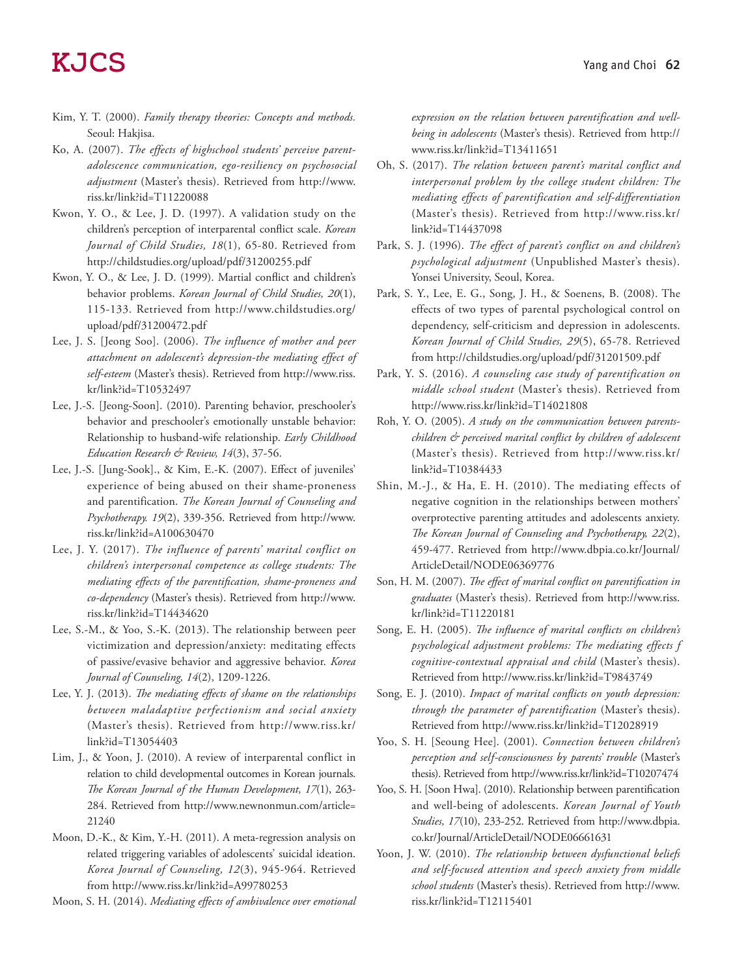- Kim, Y. T. (2000). *Family therapy theories: Concepts and methods.*  Seoul: Hakjisa.
- Ko, A. (2007). *The effects of highschool students' perceive parentadolescence communication, ego-resiliency on psychosocial adjustment* (Master's thesis). Retrieved from http://www. riss.kr/link?id=T11220088
- Kwon, Y. O., & Lee, J. D. (1997). A validation study on the children's perception of interparental conflict scale. *Korean Journal of Child Studies, 18*(1), 65-80. Retrieved from http://childstudies.org/upload/pdf/31200255.pdf
- Kwon, Y. O., & Lee, J. D. (1999). Martial conflict and children's behavior problems. *Korean Journal of Child Studies, 20*(1), 115-133. Retrieved from http://www.childstudies.org/ upload/pdf/31200472.pdf
- Lee, J. S. [Jeong Soo]. (2006). *The influence of mother and peer attachment on adolescent's depression-the mediating effect of self-esteem* (Master's thesis). Retrieved from http://www.riss. kr/link?id=T10532497
- Lee, J.-S. [Jeong-Soon]. (2010). Parenting behavior, preschooler's behavior and preschooler's emotionally unstable behavior: Relationship to husband-wife relationship. *Early Childhood Education Research & Review, 14*(3), 37-56.
- Lee, J.-S. [Jung-Sook]., & Kim, E.-K. (2007). Effect of juveniles' experience of being abused on their shame-proneness and parentification. *The Korean Journal of Counseling and Psychotherapy. 19*(2), 339-356. Retrieved from http://www. riss.kr/link?id=A100630470
- Lee, J. Y. (2017). *The influence of parents' marital conflict on children's interpersonal competence as college students: The mediating effects of the parentification, shame-proneness and co-dependency* (Master's thesis). Retrieved from http://www. riss.kr/link?id=T14434620
- Lee, S.-M., & Yoo, S.-K. (2013). The relationship between peer victimization and depression/anxiety: meditating effects of passive/evasive behavior and aggressive behavior. *Korea Journal of Counseling, 14*(2), 1209-1226.
- Lee, Y. J. (2013). *The mediating effects of shame on the relationships between maladaptive perfectionism and social anxiety* (Master's thesis). Retrieved from http://www.riss.kr/ link?id=T13054403
- Lim, J., & Yoon, J. (2010). A review of interparental conflict in relation to child developmental outcomes in Korean journals. *The Korean Journal of the Human Development, 17*(1), 263- 284. Retrieved from http://www.newnonmun.com/article= 21240
- Moon, D.-K., & Kim, Y.-H. (2011). A meta-regression analysis on related triggering variables of adolescents' suicidal ideation. *Korea Journal of Counseling, 12*(3), 945-964. Retrieved from http://www.riss.kr/link?id=A99780253

Moon, S. H. (2014). *Mediating effects of ambivalence over emotional* 

*expression on the relation between parentification and wellbeing in adolescents* (Master's thesis). Retrieved from http:// www.riss.kr/link?id=T13411651

- Oh, S. (2017). *The relation between parent's marital conflict and interpersonal problem by the college student children: The mediating effects of parentification and self-differentiation*  (Master's thesis). Retrieved from http://www.riss.kr/ link?id=T14437098
- Park, S. J. (1996). *The effect of parent's conflict on and children's psychological adjustment* (Unpublished Master's thesis). Yonsei University, Seoul, Korea.
- Park, S. Y., Lee, E. G., Song, J. H., & Soenens, B. (2008). The effects of two types of parental psychological control on dependency, self-criticism and depression in adolescents. *Korean Journal of Child Studies, 29*(5), 65-78. Retrieved from http://childstudies.org/upload/pdf/31201509.pdf
- Park, Y. S. (2016). *A counseling case study of parentification on middle school student* (Master's thesis). Retrieved from http://www.riss.kr/link?id=T14021808
- Roh, Y. O. (2005). *A study on the communication between parentschildren & perceived marital conflict by children of adolescent* (Master's thesis). Retrieved from http://www.riss.kr/ link?id=T10384433
- Shin, M.-J., & Ha, E. H. (2010). The mediating effects of negative cognition in the relationships between mothers' overprotective parenting attitudes and adolescents anxiety. *The Korean Journal of Counseling and Psychotherapy, 22*(2), 459-477. Retrieved from http://www.dbpia.co.kr/Journal/ ArticleDetail/NODE06369776
- Son, H. M. (2007). *The effect of marital conflict on parentification in graduates* (Master's thesis). Retrieved from http://www.riss. kr/link?id=T11220181
- Song, E. H. (2005). *The influence of marital conflicts on children's psychological adjustment problems: The mediating effects f cognitive-contextual appraisal and child* (Master's thesis). Retrieved from http://www.riss.kr/link?id=T9843749
- Song, E. J. (2010). *Impact of marital conflicts on youth depression: through the parameter of parentification* (Master's thesis). Retrieved from http://www.riss.kr/link?id=T12028919
- Yoo, S. H. [Seoung Hee]. (2001). *Connection between children's perception and self-consciousness by parents' trouble* (Master's thesis). Retrieved from http://www.riss.kr/link?id=T10207474
- Yoo, S. H. [Soon Hwa]. (2010). Relationship between parentification and well-being of adolescents. *Korean Journal of Youth Studies, 17*(10), 233-252. Retrieved from http://www.dbpia. co.kr/Journal/ArticleDetail/NODE06661631
- Yoon, J. W. (2010). *The relationship between dysfunctional beliefs and self-focused attention and speech anxiety from middle school students* (Master's thesis). Retrieved from http://www. riss.kr/link?id=T12115401